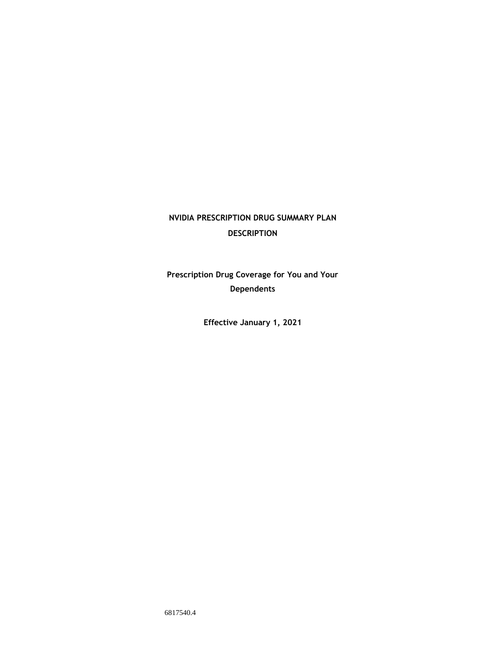# **NVIDIA PRESCRIPTION DRUG SUMMARY PLAN DESCRIPTION**

**Prescription Drug Coverage for You and Your Dependents**

**Effective January 1, 2021**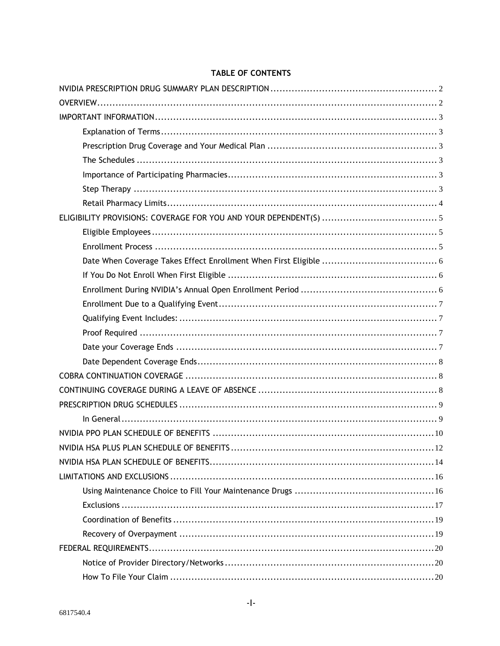# **TABLE OF CONTENTS**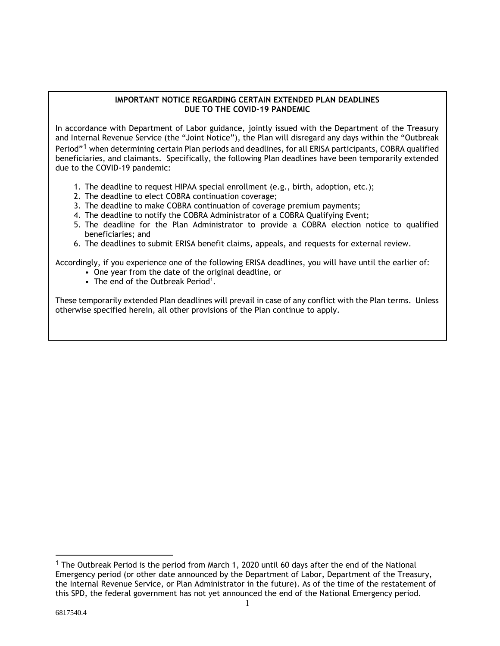### **IMPORTANT NOTICE REGARDING CERTAIN EXTENDED PLAN DEADLINES DUE TO THE COVID-19 PANDEMIC**

In accordance with Department of Labor guidance, jointly issued with the Department of the Treasury and Internal Revenue Service (the "Joint Notice"), the Plan will disregard any days within the "Outbreak Period"<sup>1</sup> when determining certain Plan periods and deadlines, for all ERISA participants, COBRA qualified beneficiaries, and claimants. Specifically, the following Plan deadlines have been temporarily extended due to the COVID-19 pandemic:

- 1. The deadline to request HIPAA special enrollment (e.g., birth, adoption, etc.);
- 2. The deadline to elect COBRA continuation coverage;
- 3. The deadline to make COBRA continuation of coverage premium payments;
- 4. The deadline to notify the COBRA Administrator of a COBRA Qualifying Event;
- 5. The deadline for the Plan Administrator to provide a COBRA election notice to qualified beneficiaries; and
- 6. The deadlines to submit ERISA benefit claims, appeals, and requests for external review.

Accordingly, if you experience one of the following ERISA deadlines, you will have until the earlier of:

- One year from the date of the original deadline, or
- The end of the Outbreak Period<sup>1</sup>.

These temporarily extended Plan deadlines will prevail in case of any conflict with the Plan terms. Unless otherwise specified herein, all other provisions of the Plan continue to apply.

<sup>&</sup>lt;sup>1</sup> The Outbreak Period is the period from March 1, 2020 until 60 days after the end of the National Emergency period (or other date announced by the Department of Labor, Department of the Treasury, the Internal Revenue Service, or Plan Administrator in the future). As of the time of the restatement of this SPD, the federal government has not yet announced the end of the National Emergency period.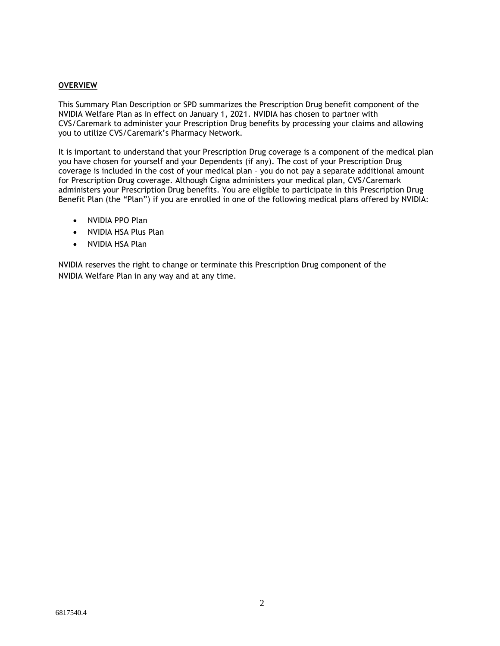### **OVERVIEW**

This Summary Plan Description or SPD summarizes the Prescription Drug benefit component of the NVIDIA Welfare Plan as in effect on January 1, 2021. NVIDIA has chosen to partner with CVS/Caremark to administer your Prescription Drug benefits by processing your claims and allowing you to utilize CVS/Caremark's Pharmacy Network.

It is important to understand that your Prescription Drug coverage is a component of the medical plan you have chosen for yourself and your Dependents (if any). The cost of your Prescription Drug coverage is included in the cost of your medical plan – you do not pay a separate additional amount for Prescription Drug coverage. Although Cigna administers your medical plan, CVS/Caremark administers your Prescription Drug benefits. You are eligible to participate in this Prescription Drug Benefit Plan (the "Plan") if you are enrolled in one of the following medical plans offered by NVIDIA:

- NVIDIA PPO Plan
- NVIDIA HSA Plus Plan
- NVIDIA HSA Plan

NVIDIA reserves the right to change or terminate this Prescription Drug component of the NVIDIA Welfare Plan in any way and at any time.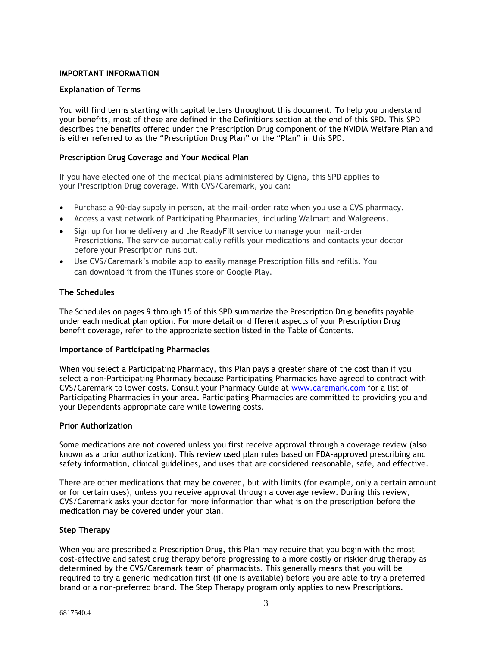### **IMPORTANT INFORMATION**

### **Explanation of Terms**

You will find terms starting with capital letters throughout this document. To help you understand your benefits, most of these are defined in the Definitions section at the end of this SPD. This SPD describes the benefits offered under the Prescription Drug component of the NVIDIA Welfare Plan and is either referred to as the "Prescription Drug Plan" or the "Plan" in this SPD.

### **Prescription Drug Coverage and Your Medical Plan**

If you have elected one of the medical plans administered by Cigna, this SPD applies to your Prescription Drug coverage. With CVS/Caremark, you can:

- Purchase a 90-day supply in person, at the mail-order rate when you use a CVS pharmacy.
- Access a vast network of Participating Pharmacies, including Walmart and Walgreens.
- Sign up for home delivery and the ReadyFill service to manage your mail-order Prescriptions. The service automatically refills your medications and contacts your doctor before your Prescription runs out.
- Use CVS/Caremark's mobile app to easily manage Prescription fills and refills. You can download it from the iTunes store or Google Play.

### **The Schedules**

The Schedules on pages 9 through 15 of this SPD summarize the Prescription Drug benefits payable under each medical plan option. For more detail on different aspects of your Prescription Drug benefit coverage, refer to the appropriate section listed in the Table of Contents.

### **Importance of Participating Pharmacies**

When you select a Participating Pharmacy, this Plan pays a greater share of the cost than if you select a non-Participating Pharmacy because Participating Pharmacies have agreed to contract with CVS/Caremark to lower costs. Consult your Pharmacy Guide at [www.caremark.com](http://www.caremark.com/) for a list of Participating Pharmacies in your area. Participating Pharmacies are committed to providing you and your Dependents appropriate care while lowering costs.

### **Prior Authorization**

Some medications are not covered unless you first receive approval through a coverage review (also known as a prior authorization). This review used plan rules based on FDA-approved prescribing and safety information, clinical guidelines, and uses that are considered reasonable, safe, and effective.

There are other medications that may be covered, but with limits (for example, only a certain amount or for certain uses), unless you receive approval through a coverage review. During this review, CVS/Caremark asks your doctor for more information than what is on the prescription before the medication may be covered under your plan.

### **Step Therapy**

When you are prescribed a Prescription Drug, this Plan may require that you begin with the most cost-effective and safest drug therapy before progressing to a more costly or riskier drug therapy as determined by the CVS/Caremark team of pharmacists. This generally means that you will be required to try a generic medication first (if one is available) before you are able to try a preferred brand or a non-preferred brand. The Step Therapy program only applies to new Prescriptions.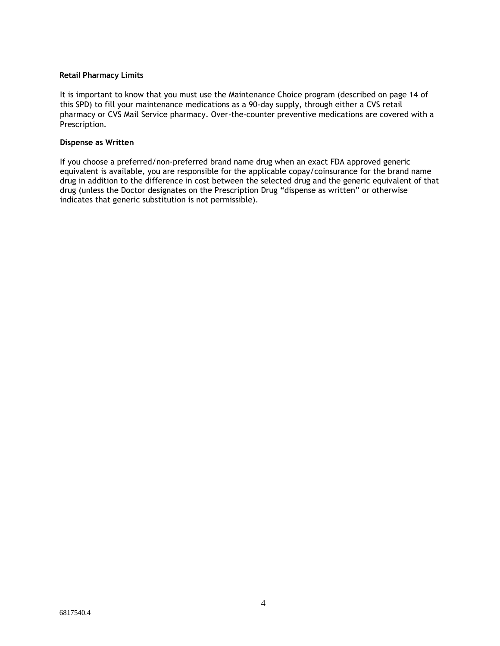### **Retail Pharmacy Limits**

It is important to know that you must use the Maintenance Choice program (described on page 14 of this SPD) to fill your maintenance medications as a 90-day supply, through either a CVS retail pharmacy or CVS Mail Service pharmacy. Over-the-counter preventive medications are covered with a Prescription.

### **Dispense as Written**

If you choose a preferred/non-preferred brand name drug when an exact FDA approved generic equivalent is available, you are responsible for the applicable copay/coinsurance for the brand name drug in addition to the difference in cost between the selected drug and the generic equivalent of that drug (unless the Doctor designates on the Prescription Drug "dispense as written" or otherwise indicates that generic substitution is not permissible).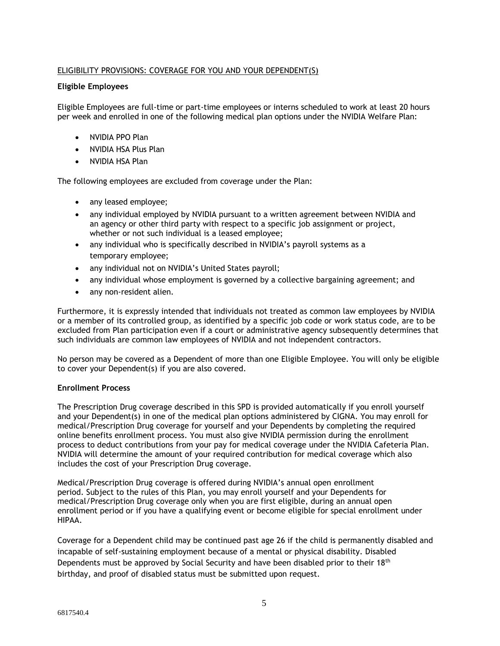### ELIGIBILITY PROVISIONS: COVERAGE FOR YOU AND YOUR DEPENDENT(S)

### **Eligible Employees**

Eligible Employees are full-time or part-time employees or interns scheduled to work at least 20 hours per week and enrolled in one of the following medical plan options under the NVIDIA Welfare Plan:

- NVIDIA PPO Plan
- NVIDIA HSA Plus Plan
- NVIDIA HSA Plan

The following employees are excluded from coverage under the Plan:

- any leased employee;
- any individual employed by NVIDIA pursuant to a written agreement between NVIDIA and an agency or other third party with respect to a specific job assignment or project, whether or not such individual is a leased employee;
- any individual who is specifically described in NVIDIA's payroll systems as a temporary employee;
- any individual not on NVIDIA's United States payroll;
- any individual whose employment is governed by a collective bargaining agreement; and
- any non-resident alien.

Furthermore, it is expressly intended that individuals not treated as common law employees by NVIDIA or a member of its controlled group, as identified by a specific job code or work status code, are to be excluded from Plan participation even if a court or administrative agency subsequently determines that such individuals are common law employees of NVIDIA and not independent contractors.

No person may be covered as a Dependent of more than one Eligible Employee. You will only be eligible to cover your Dependent(s) if you are also covered.

### **Enrollment Process**

The Prescription Drug coverage described in this SPD is provided automatically if you enroll yourself and your Dependent(s) in one of the medical plan options administered by CIGNA. You may enroll for medical/Prescription Drug coverage for yourself and your Dependents by completing the required online benefits enrollment process. You must also give NVIDIA permission during the enrollment process to deduct contributions from your pay for medical coverage under the NVIDIA Cafeteria Plan. NVIDIA will determine the amount of your required contribution for medical coverage which also includes the cost of your Prescription Drug coverage.

Medical/Prescription Drug coverage is offered during NVIDIA's annual open enrollment period. Subject to the rules of this Plan, you may enroll yourself and your Dependents for medical/Prescription Drug coverage only when you are first eligible, during an annual open enrollment period or if you have a qualifying event or become eligible for special enrollment under HIPAA.

Coverage for a Dependent child may be continued past age 26 if the child is permanently disabled and incapable of self-sustaining employment because of a mental or physical disability. Disabled Dependents must be approved by Social Security and have been disabled prior to their 18<sup>th</sup> birthday, and proof of disabled status must be submitted upon request.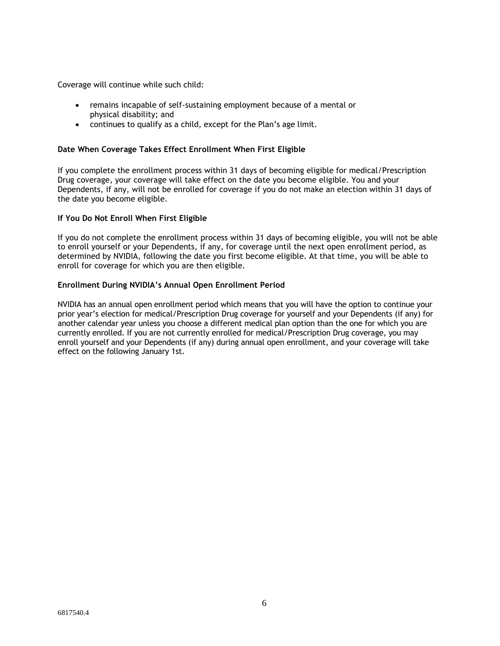Coverage will continue while such child:

- remains incapable of self-sustaining employment because of a mental or physical disability; and
- continues to qualify as a child, except for the Plan's age limit.

### **Date When Coverage Takes Effect Enrollment When First Eligible**

If you complete the enrollment process within 31 days of becoming eligible for medical/Prescription Drug coverage, your coverage will take effect on the date you become eligible. You and your Dependents, if any, will not be enrolled for coverage if you do not make an election within 31 days of the date you become eligible.

### **If You Do Not Enroll When First Eligible**

If you do not complete the enrollment process within 31 days of becoming eligible, you will not be able to enroll yourself or your Dependents, if any, for coverage until the next open enrollment period, as determined by NVIDIA, following the date you first become eligible. At that time, you will be able to enroll for coverage for which you are then eligible.

### **Enrollment During NVIDIA's Annual Open Enrollment Period**

NVIDIA has an annual open enrollment period which means that you will have the option to continue your prior year's election for medical/Prescription Drug coverage for yourself and your Dependents (if any) for another calendar year unless you choose a different medical plan option than the one for which you are currently enrolled. If you are not currently enrolled for medical/Prescription Drug coverage, you may enroll yourself and your Dependents (if any) during annual open enrollment, and your coverage will take effect on the following January 1st.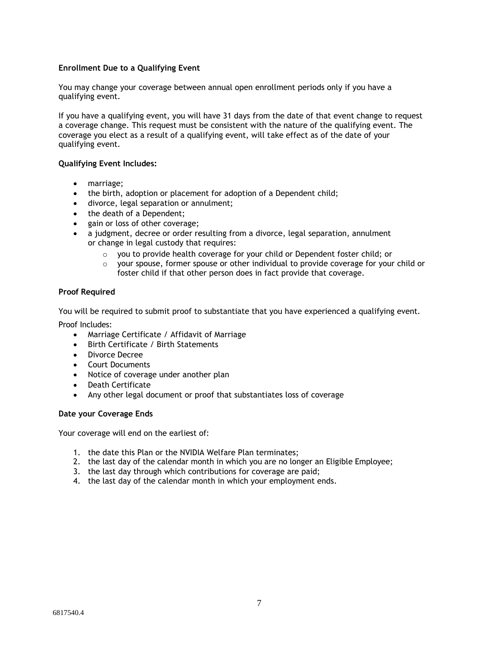### **Enrollment Due to a Qualifying Event**

You may change your coverage between annual open enrollment periods only if you have a qualifying event.

If you have a qualifying event, you will have 31 days from the date of that event change to request a coverage change. This request must be consistent with the nature of the qualifying event. The coverage you elect as a result of a qualifying event, will take effect as of the date of your qualifying event.

### **Qualifying Event Includes:**

- marriage;
- the birth, adoption or placement for adoption of a Dependent child;
- divorce, legal separation or annulment;
- the death of a Dependent;
- gain or loss of other coverage;
- a judgment, decree or order resulting from a divorce, legal separation, annulment or change in legal custody that requires:
	- $\circ$  you to provide health coverage for your child or Dependent foster child; or
	- $\circ$  your spouse, former spouse or other individual to provide coverage for your child or foster child if that other person does in fact provide that coverage.

### **Proof Required**

You will be required to submit proof to substantiate that you have experienced a qualifying event. Proof Includes:

- Marriage Certificate / Affidavit of Marriage
- Birth Certificate / Birth Statements
- Divorce Decree
- Court Documents
- Notice of coverage under another plan
- Death Certificate
- Any other legal document or proof that substantiates loss of coverage

### **Date your Coverage Ends**

Your coverage will end on the earliest of:

- 1. the date this Plan or the NVIDIA Welfare Plan terminates;
- 2. the last day of the calendar month in which you are no longer an Eligible Employee;
- 3. the last day through which contributions for coverage are paid;
- 4. the last day of the calendar month in which your employment ends.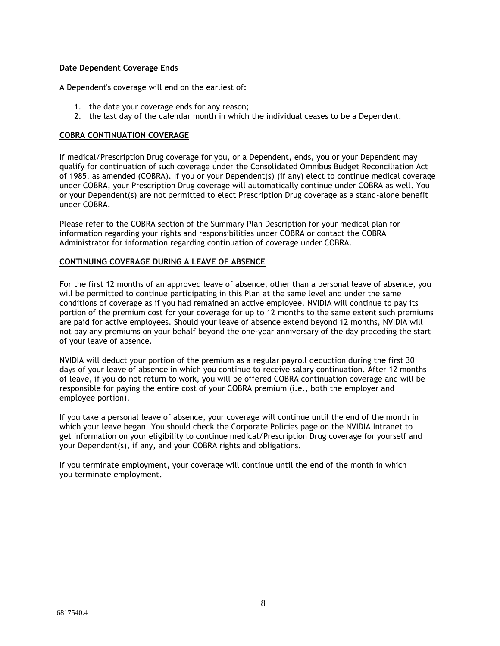### **Date Dependent Coverage Ends**

A Dependent's coverage will end on the earliest of:

- 1. the date your coverage ends for any reason;
- 2. the last day of the calendar month in which the individual ceases to be a Dependent.

### **COBRA CONTINUATION COVERAGE**

If medical/Prescription Drug coverage for you, or a Dependent, ends, you or your Dependent may qualify for continuation of such coverage under the Consolidated Omnibus Budget Reconciliation Act of 1985, as amended (COBRA). If you or your Dependent(s) (if any) elect to continue medical coverage under COBRA, your Prescription Drug coverage will automatically continue under COBRA as well. You or your Dependent(s) are not permitted to elect Prescription Drug coverage as a stand-alone benefit under COBRA.

Please refer to the COBRA section of the Summary Plan Description for your medical plan for information regarding your rights and responsibilities under COBRA or contact the COBRA Administrator for information regarding continuation of coverage under COBRA.

### **CONTINUING COVERAGE DURING A LEAVE OF ABSENCE**

For the first 12 months of an approved leave of absence, other than a personal leave of absence, you will be permitted to continue participating in this Plan at the same level and under the same conditions of coverage as if you had remained an active employee. NVIDIA will continue to pay its portion of the premium cost for your coverage for up to 12 months to the same extent such premiums are paid for active employees. Should your leave of absence extend beyond 12 months, NVIDIA will not pay any premiums on your behalf beyond the one-year anniversary of the day preceding the start of your leave of absence.

NVIDIA will deduct your portion of the premium as a regular payroll deduction during the first 30 days of your leave of absence in which you continue to receive salary continuation. After 12 months of leave, if you do not return to work, you will be offered COBRA continuation coverage and will be responsible for paying the entire cost of your COBRA premium (i.e., both the employer and employee portion).

If you take a personal leave of absence, your coverage will continue until the end of the month in which your leave began. You should check the Corporate Policies page on the NVIDIA Intranet to get information on your eligibility to continue medical/Prescription Drug coverage for yourself and your Dependent(s), if any, and your COBRA rights and obligations.

If you terminate employment, your coverage will continue until the end of the month in which you terminate employment.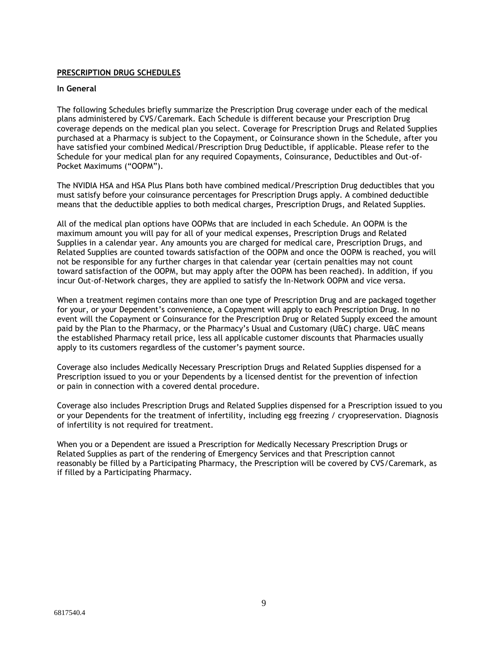### **PRESCRIPTION DRUG SCHEDULES**

### **In General**

The following Schedules briefly summarize the Prescription Drug coverage under each of the medical plans administered by CVS/Caremark. Each Schedule is different because your Prescription Drug coverage depends on the medical plan you select. Coverage for Prescription Drugs and Related Supplies purchased at a Pharmacy is subject to the Copayment, or Coinsurance shown in the Schedule, after you have satisfied your combined Medical/Prescription Drug Deductible, if applicable. Please refer to the Schedule for your medical plan for any required Copayments, Coinsurance, Deductibles and Out-of-Pocket Maximums ("OOPM").

The NVIDIA HSA and HSA Plus Plans both have combined medical/Prescription Drug deductibles that you must satisfy before your coinsurance percentages for Prescription Drugs apply. A combined deductible means that the deductible applies to both medical charges, Prescription Drugs, and Related Supplies.

All of the medical plan options have OOPMs that are included in each Schedule. An OOPM is the maximum amount you will pay for all of your medical expenses, Prescription Drugs and Related Supplies in a calendar year. Any amounts you are charged for medical care, Prescription Drugs, and Related Supplies are counted towards satisfaction of the OOPM and once the OOPM is reached, you will not be responsible for any further charges in that calendar year (certain penalties may not count toward satisfaction of the OOPM, but may apply after the OOPM has been reached). In addition, if you incur Out-of-Network charges, they are applied to satisfy the In-Network OOPM and vice versa.

When a treatment regimen contains more than one type of Prescription Drug and are packaged together for your, or your Dependent's convenience, a Copayment will apply to each Prescription Drug. In no event will the Copayment or Coinsurance for the Prescription Drug or Related Supply exceed the amount paid by the Plan to the Pharmacy, or the Pharmacy's Usual and Customary (U&C) charge. U&C means the established Pharmacy retail price, less all applicable customer discounts that Pharmacies usually apply to its customers regardless of the customer's payment source.

Coverage also includes Medically Necessary Prescription Drugs and Related Supplies dispensed for a Prescription issued to you or your Dependents by a licensed dentist for the prevention of infection or pain in connection with a covered dental procedure.

Coverage also includes Prescription Drugs and Related Supplies dispensed for a Prescription issued to you or your Dependents for the treatment of infertility, including egg freezing / cryopreservation. Diagnosis of infertility is not required for treatment.

When you or a Dependent are issued a Prescription for Medically Necessary Prescription Drugs or Related Supplies as part of the rendering of Emergency Services and that Prescription cannot reasonably be filled by a Participating Pharmacy, the Prescription will be covered by CVS/Caremark, as if filled by a Participating Pharmacy.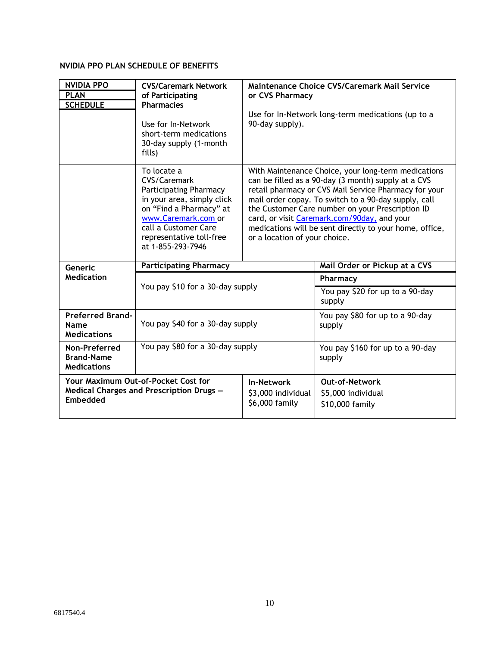# **NVIDIA PPO PLAN SCHEDULE OF BENEFITS**

| <b>NVIDIA PPO</b><br><b>PLAN</b><br><b>SCHEDULE</b>                                         | <b>CVS/Caremark Network</b><br>of Participating<br><b>Pharmacies</b><br>Use for In-Network<br>short-term medications<br>30-day supply (1-month<br>fills)                                                              | Maintenance Choice CVS/Caremark Mail Service<br>or CVS Pharmacy<br>Use for In-Network long-term medications (up to a<br>90-day supply).                                                                                                                                                                                                                                                                                    |                                                                |
|---------------------------------------------------------------------------------------------|-----------------------------------------------------------------------------------------------------------------------------------------------------------------------------------------------------------------------|----------------------------------------------------------------------------------------------------------------------------------------------------------------------------------------------------------------------------------------------------------------------------------------------------------------------------------------------------------------------------------------------------------------------------|----------------------------------------------------------------|
|                                                                                             | To locate a<br>CVS/Caremark<br><b>Participating Pharmacy</b><br>in your area, simply click<br>on "Find a Pharmacy" at<br>www.Caremark.com or<br>call a Customer Care<br>representative toll-free<br>at 1-855-293-7946 | With Maintenance Choice, your long-term medications<br>can be filled as a 90-day (3 month) supply at a CVS<br>retail pharmacy or CVS Mail Service Pharmacy for your<br>mail order copay. To switch to a 90-day supply, call<br>the Customer Care number on your Prescription ID<br>card, or visit Caremark.com/90day, and your<br>medications will be sent directly to your home, office,<br>or a location of your choice. |                                                                |
| Generic                                                                                     | <b>Participating Pharmacy</b>                                                                                                                                                                                         |                                                                                                                                                                                                                                                                                                                                                                                                                            | Mail Order or Pickup at a CVS                                  |
| <b>Medication</b>                                                                           |                                                                                                                                                                                                                       |                                                                                                                                                                                                                                                                                                                                                                                                                            | Pharmacy                                                       |
|                                                                                             | You pay \$10 for a 30-day supply                                                                                                                                                                                      |                                                                                                                                                                                                                                                                                                                                                                                                                            | You pay \$20 for up to a 90-day<br>supply                      |
| <b>Preferred Brand-</b><br>Name<br><b>Medications</b>                                       | You pay \$40 for a 30-day supply                                                                                                                                                                                      |                                                                                                                                                                                                                                                                                                                                                                                                                            | You pay \$80 for up to a 90-day<br>supply                      |
| Non-Preferred<br><b>Brand-Name</b><br><b>Medications</b>                                    | You pay \$80 for a 30-day supply                                                                                                                                                                                      |                                                                                                                                                                                                                                                                                                                                                                                                                            | You pay \$160 for up to a 90-day<br>supply                     |
| Your Maximum Out-of-Pocket Cost for<br>Medical Charges and Prescription Drugs -<br>Embedded |                                                                                                                                                                                                                       | <b>In-Network</b><br>\$3,000 individual<br>\$6,000 family                                                                                                                                                                                                                                                                                                                                                                  | <b>Out-of-Network</b><br>\$5,000 individual<br>\$10,000 family |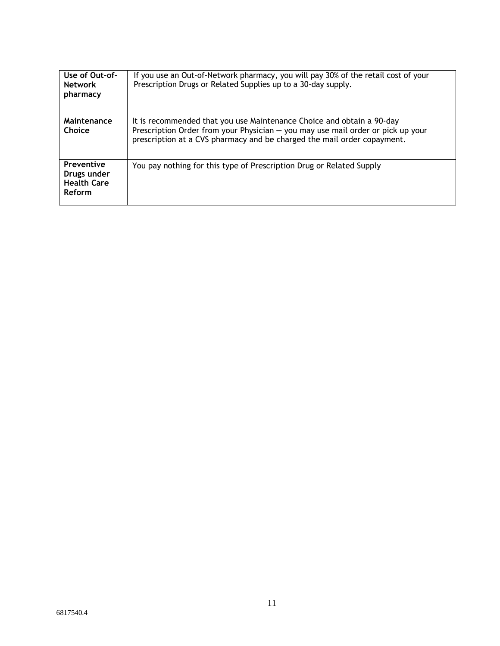| Use of Out-of-<br><b>Network</b><br>pharmacy                            | If you use an Out-of-Network pharmacy, you will pay 30% of the retail cost of your<br>Prescription Drugs or Related Supplies up to a 30-day supply.                                                                                 |
|-------------------------------------------------------------------------|-------------------------------------------------------------------------------------------------------------------------------------------------------------------------------------------------------------------------------------|
| Maintenance<br>Choice                                                   | It is recommended that you use Maintenance Choice and obtain a 90-day<br>Prescription Order from your Physician - you may use mail order or pick up your<br>prescription at a CVS pharmacy and be charged the mail order copayment. |
| <b>Preventive</b><br>Drugs under<br><b>Health Care</b><br><b>Reform</b> | You pay nothing for this type of Prescription Drug or Related Supply                                                                                                                                                                |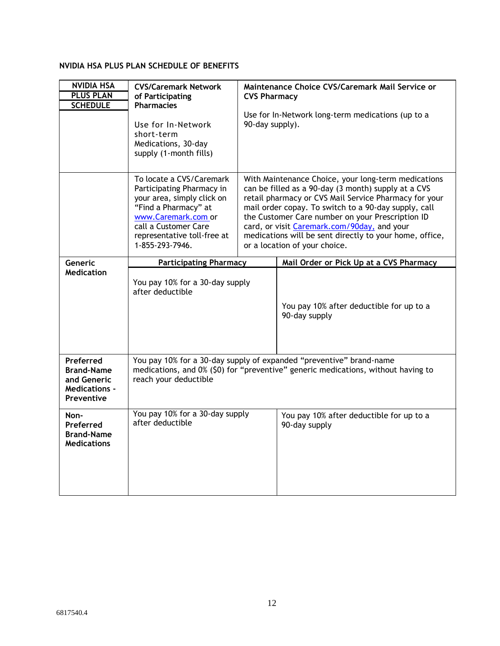# **NVIDIA HSA PLUS PLAN SCHEDULE OF BENEFITS**

| <b>NVIDIA HSA</b><br><b>PLUS PLAN</b><br><b>SCHEDULE</b>                            | <b>CVS/Caremark Network</b><br>of Participating<br><b>Pharmacies</b><br>Use for In-Network<br>short-term<br>Medications, 30-day<br>supply (1-month fills)                                                    | Maintenance Choice CVS/Caremark Mail Service or<br><b>CVS Pharmacy</b><br>Use for In-Network long-term medications (up to a<br>90-day supply).                                                                                                                                                                                                                                                                             |                                                           |
|-------------------------------------------------------------------------------------|--------------------------------------------------------------------------------------------------------------------------------------------------------------------------------------------------------------|----------------------------------------------------------------------------------------------------------------------------------------------------------------------------------------------------------------------------------------------------------------------------------------------------------------------------------------------------------------------------------------------------------------------------|-----------------------------------------------------------|
|                                                                                     | To locate a CVS/Caremark<br>Participating Pharmacy in<br>your area, simply click on<br>"Find a Pharmacy" at<br>www.Caremark.com or<br>call a Customer Care<br>representative toll-free at<br>1-855-293-7946. | With Maintenance Choice, your long-term medications<br>can be filled as a 90-day (3 month) supply at a CVS<br>retail pharmacy or CVS Mail Service Pharmacy for your<br>mail order copay. To switch to a 90-day supply, call<br>the Customer Care number on your Prescription ID<br>card, or visit Caremark.com/90day, and your<br>medications will be sent directly to your home, office,<br>or a location of your choice. |                                                           |
| Generic<br><b>Medication</b>                                                        | <b>Participating Pharmacy</b>                                                                                                                                                                                |                                                                                                                                                                                                                                                                                                                                                                                                                            | Mail Order or Pick Up at a CVS Pharmacy                   |
|                                                                                     | You pay 10% for a 30-day supply<br>after deductible                                                                                                                                                          |                                                                                                                                                                                                                                                                                                                                                                                                                            | You pay 10% after deductible for up to a<br>90-day supply |
| Preferred<br><b>Brand-Name</b><br>and Generic<br><b>Medications -</b><br>Preventive | You pay 10% for a 30-day supply of expanded "preventive" brand-name<br>medications, and 0% (\$0) for "preventive" generic medications, without having to<br>reach your deductible                            |                                                                                                                                                                                                                                                                                                                                                                                                                            |                                                           |
| Non-<br>Preferred<br><b>Brand-Name</b><br><b>Medications</b>                        | You pay 10% for a 30-day supply<br>after deductible                                                                                                                                                          |                                                                                                                                                                                                                                                                                                                                                                                                                            | You pay 10% after deductible for up to a<br>90-day supply |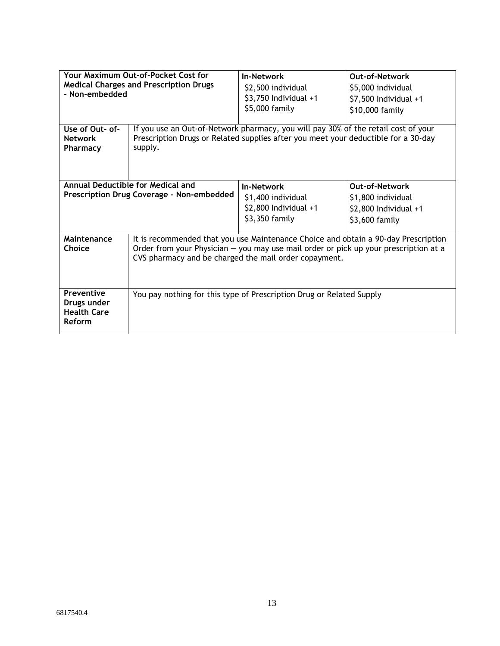| Your Maximum Out-of-Pocket Cost for<br><b>Medical Charges and Prescription Drugs</b><br>- Non-embedded |                                                                                                                                                                                                                                     | <b>In-Network</b><br>\$2,500 individual<br>\$3,750 Individual +1<br>\$5,000 family    | Out-of-Network<br>\$5,000 individual<br>\$7,500 Individual +1<br>\$10,000 family          |  |
|--------------------------------------------------------------------------------------------------------|-------------------------------------------------------------------------------------------------------------------------------------------------------------------------------------------------------------------------------------|---------------------------------------------------------------------------------------|-------------------------------------------------------------------------------------------|--|
| Use of Out- of-<br><b>Network</b><br>Pharmacy                                                          | If you use an Out-of-Network pharmacy, you will pay 30% of the retail cost of your<br>Prescription Drugs or Related supplies after you meet your deductible for a 30-day<br>supply.                                                 |                                                                                       |                                                                                           |  |
| Annual Deductible for Medical and<br>Prescription Drug Coverage - Non-embedded                         |                                                                                                                                                                                                                                     | <b>In-Network</b><br>\$1,400 individual<br>$$2,800$ Individual $+1$<br>\$3,350 family | <b>Out-of-Network</b><br>\$1,800 individual<br>$$2,800$ Individual $+1$<br>\$3,600 family |  |
| Maintenance<br>Choice                                                                                  | It is recommended that you use Maintenance Choice and obtain a 90-day Prescription<br>Order from your Physician - you may use mail order or pick up your prescription at a<br>CVS pharmacy and be charged the mail order copayment. |                                                                                       |                                                                                           |  |
| <b>Preventive</b><br>Drugs under<br><b>Health Care</b><br>Reform                                       | You pay nothing for this type of Prescription Drug or Related Supply                                                                                                                                                                |                                                                                       |                                                                                           |  |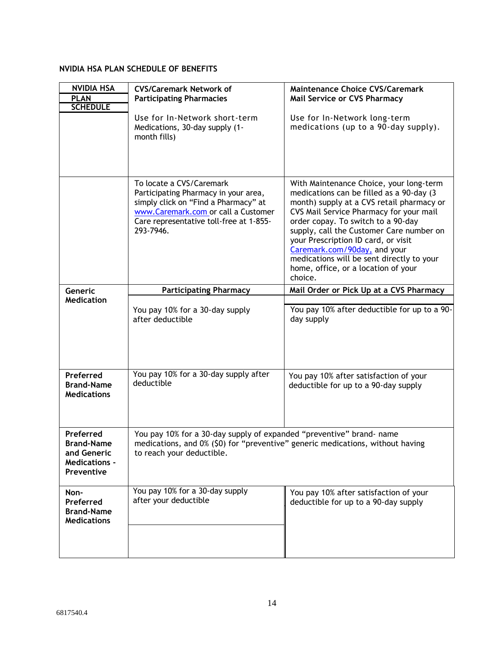# **NVIDIA HSA PLAN SCHEDULE OF BENEFITS**

| <b>NVIDIA HSA</b><br><b>PLAN</b><br><b>SCHEDULE</b>                                 | <b>CVS/Caremark Network of</b><br><b>Participating Pharmacies</b><br>Use for In-Network short-term<br>Medications, 30-day supply (1-<br>month fills)                                                    | <b>Maintenance Choice CVS/Caremark</b><br><b>Mail Service or CVS Pharmacy</b><br>Use for In-Network long-term<br>medications (up to a 90-day supply).                                                                                                                                                                                                                                                                                |  |
|-------------------------------------------------------------------------------------|---------------------------------------------------------------------------------------------------------------------------------------------------------------------------------------------------------|--------------------------------------------------------------------------------------------------------------------------------------------------------------------------------------------------------------------------------------------------------------------------------------------------------------------------------------------------------------------------------------------------------------------------------------|--|
|                                                                                     | To locate a CVS/Caremark<br>Participating Pharmacy in your area,<br>simply click on "Find a Pharmacy" at<br>www.Caremark.com or call a Customer<br>Care representative toll-free at 1-855-<br>293-7946. | With Maintenance Choice, your long-term<br>medications can be filled as a 90-day (3)<br>month) supply at a CVS retail pharmacy or<br>CVS Mail Service Pharmacy for your mail<br>order copay. To switch to a 90-day<br>supply, call the Customer Care number on<br>your Prescription ID card, or visit<br>Caremark.com/90day, and your<br>medications will be sent directly to your<br>home, office, or a location of your<br>choice. |  |
| Generic                                                                             | <b>Participating Pharmacy</b>                                                                                                                                                                           | Mail Order or Pick Up at a CVS Pharmacy                                                                                                                                                                                                                                                                                                                                                                                              |  |
| <b>Medication</b>                                                                   | You pay 10% for a 30-day supply<br>after deductible                                                                                                                                                     | You pay 10% after deductible for up to a 90-<br>day supply                                                                                                                                                                                                                                                                                                                                                                           |  |
| Preferred<br><b>Brand-Name</b><br><b>Medications</b>                                | You pay 10% for a 30-day supply after<br>deductible                                                                                                                                                     | You pay 10% after satisfaction of your<br>deductible for up to a 90-day supply                                                                                                                                                                                                                                                                                                                                                       |  |
| Preferred<br><b>Brand-Name</b><br>and Generic<br><b>Medications -</b><br>Preventive | You pay 10% for a 30-day supply of expanded "preventive" brand- name<br>medications, and 0% (\$0) for "preventive" generic medications, without having<br>to reach your deductible.                     |                                                                                                                                                                                                                                                                                                                                                                                                                                      |  |
| Non-<br>Preferred<br><b>Brand-Name</b><br><b>Medications</b>                        | You pay 10% for a 30-day supply<br>after your deductible                                                                                                                                                | You pay 10% after satisfaction of your<br>deductible for up to a 90-day supply                                                                                                                                                                                                                                                                                                                                                       |  |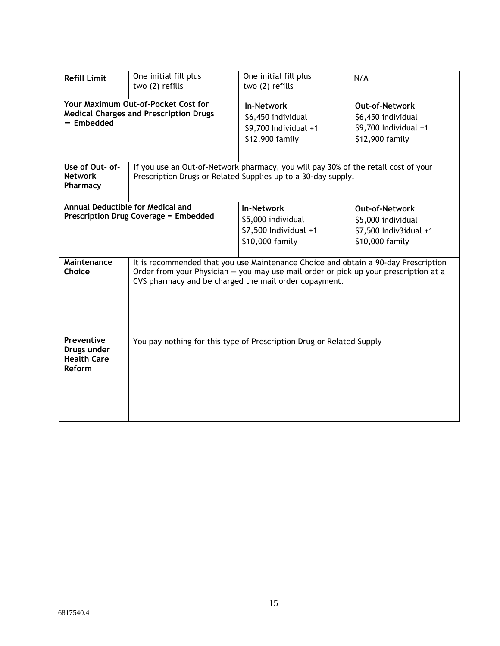| <b>Refill Limit</b>                                                                                | One initial fill plus<br>two (2) refills                                                                                                                                                                                            | One initial fill plus<br>two (2) refills                                                                                                                                       | N/A                                                                                      |
|----------------------------------------------------------------------------------------------------|-------------------------------------------------------------------------------------------------------------------------------------------------------------------------------------------------------------------------------------|--------------------------------------------------------------------------------------------------------------------------------------------------------------------------------|------------------------------------------------------------------------------------------|
| Your Maximum Out-of-Pocket Cost for<br><b>Medical Charges and Prescription Drugs</b><br>- Embedded |                                                                                                                                                                                                                                     | <b>In-Network</b><br><b>Out-of-Network</b><br>\$6,450 individual<br>\$6,450 individual<br>\$9,700 Individual +1<br>\$9,700 Individual +1<br>\$12,900 family<br>\$12,900 family |                                                                                          |
| Use of Out- of-<br><b>Network</b><br>Pharmacy                                                      | If you use an Out-of-Network pharmacy, you will pay 30% of the retail cost of your<br>Prescription Drugs or Related Supplies up to a 30-day supply.                                                                                 |                                                                                                                                                                                |                                                                                          |
| <b>Annual Deductible for Medical and</b><br>Prescription Drug Coverage - Embedded                  |                                                                                                                                                                                                                                     | <b>In-Network</b><br>\$5,000 individual<br>\$7,500 Individual +1<br>\$10,000 family                                                                                            | <b>Out-of-Network</b><br>\$5,000 individual<br>\$7,500 Indiv3idual +1<br>\$10,000 family |
| Maintenance<br>Choice                                                                              | It is recommended that you use Maintenance Choice and obtain a 90-day Prescription<br>Order from your Physician - you may use mail order or pick up your prescription at a<br>CVS pharmacy and be charged the mail order copayment. |                                                                                                                                                                                |                                                                                          |
| Preventive<br>Drugs under<br><b>Health Care</b><br><b>Reform</b>                                   |                                                                                                                                                                                                                                     | You pay nothing for this type of Prescription Drug or Related Supply                                                                                                           |                                                                                          |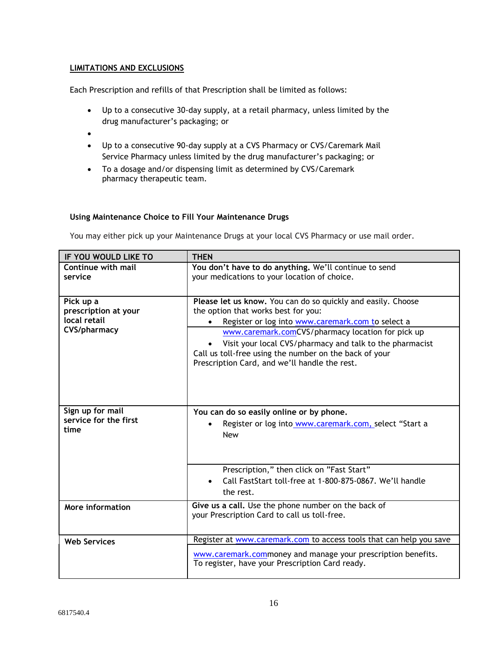### **LIMITATIONS AND EXCLUSIONS**

Each Prescription and refills of that Prescription shall be limited as follows:

- Up to a consecutive 30-day supply, at a retail pharmacy, unless limited by the drug manufacturer's packaging; or
- •
- Up to a consecutive 90-day supply at a CVS Pharmacy or CVS/Caremark Mail Service Pharmacy unless limited by the drug manufacturer's packaging; or
- To a dosage and/or dispensing limit as determined by CVS/Caremark pharmacy therapeutic team.

### **Using Maintenance Choice to Fill Your Maintenance Drugs**

You may either pick up your Maintenance Drugs at your local CVS Pharmacy or use mail order.

| <b>THEN</b>                                                         |
|---------------------------------------------------------------------|
| You don't have to do anything. We'll continue to send               |
| your medications to your location of choice.                        |
|                                                                     |
| Please let us know. You can do so quickly and easily. Choose        |
| the option that works best for you:                                 |
| Register or log into www.caremark.com to select a                   |
| www.caremark.comCVS/pharmacy location for pick up                   |
| Visit your local CVS/pharmacy and talk to the pharmacist            |
| Call us toll-free using the number on the back of your              |
| Prescription Card, and we'll handle the rest.                       |
|                                                                     |
|                                                                     |
|                                                                     |
| You can do so easily online or by phone.                            |
| Register or log into www.caremark.com, select "Start a              |
| <b>New</b>                                                          |
|                                                                     |
|                                                                     |
| Prescription," then click on "Fast Start"                           |
| Call FastStart toll-free at 1-800-875-0867. We'll handle            |
| the rest.                                                           |
| Give us a call. Use the phone number on the back of                 |
| your Prescription Card to call us toll-free.                        |
|                                                                     |
| Register at www.caremark.com to access tools that can help you save |
| www.caremark.commoney and manage your prescription benefits.        |
| To register, have your Prescription Card ready.                     |
|                                                                     |
|                                                                     |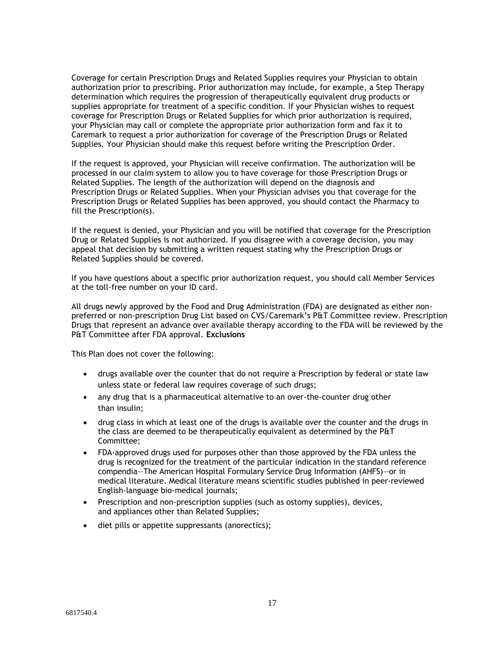Coverage for certain Prescription Drugs and Related Supplies requires your Physician to obtain authorization prior to prescribing. Prior authorization may include, for example, a Step Therapy determination which requires the progression of therapeutically equivalent drug products or supplies appropriate for treatment of a specific condition. If your Physician wishes to request coverage for Prescription Drugs or Related Supplies for which prior authorization is required, your Physician may call or complete the appropriate prior authorization form and fax it to Caremark to request a prior authorization for coverage of the Prescription Drugs or Related Supplies. Your Physician should make this request before writing the Prescription Order.

If the request is approved, your Physician will receive confirmation. The authorization will be processed in our claim system to allow you to have coverage for those Prescription Drugs or Related Supplies. The length of the authorization will depend on the diagnosis and Prescription Drugs or Related Supplies. When your Physician advises you that coverage for the Prescription Drugs or Related Supplies has been approved, you should contact the Pharmacy to fill the Prescription(s).

If the request is denied, your Physician and you will be notified that coverage for the Prescription Drug or Related Supplies is not authorized. If you disagree with a coverage decision, you may appeal that decision by submitting a written request stating why the Prescription Drugs or Related Supplies should be covered.

If you have questions about a specific prior authorization request, you should call Member Services at the toll-free number on your ID card.

All drugs newly approved by the Food and Drug Administration (FDA) are designated as either nonpreferred or non-prescription Drug List based on CVS/Caremark's P&T Committee review. Prescription Drugs that represent an advance over available therapy according to the FDA will be reviewed by the P&T Committee after FDA approval. **Exclusions**

This Plan does not cover the following:

- drugs available over the counter that do not require a Prescription by federal or state law unless state or federal law requires coverage of such drugs;
- any drug that is a pharmaceutical alternative to an over-the-counter drug other than insulin;
- drug class in which at least one of the drugs is available over the counter and the drugs in the class are deemed to be therapeutically equivalent as determined by the P&T Committee;
- FDA-approved drugs used for purposes other than those approved by the FDA unless the drug is recognized for the treatment of the particular indication in the standard reference compendia—The American Hospital Formulary Service Drug Information (AHFS)—or in medical literature. Medical literature means scientific studies published in peer-reviewed English-language bio-medical journals;
- Prescription and non-prescription supplies (such as ostomy supplies), devices, and appliances other than Related Supplies;
- diet pills or appetite suppressants (anorectics);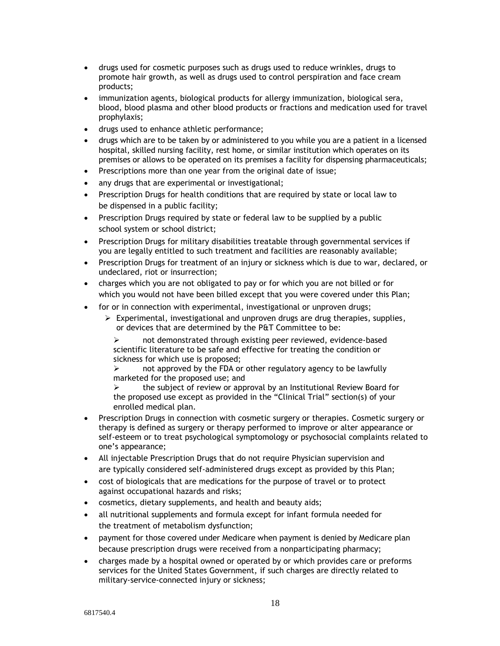- drugs used for cosmetic purposes such as drugs used to reduce wrinkles, drugs to promote hair growth, as well as drugs used to control perspiration and face cream products;
- immunization agents, biological products for allergy immunization, biological sera, blood, blood plasma and other blood products or fractions and medication used for travel prophylaxis;
- drugs used to enhance athletic performance;
- drugs which are to be taken by or administered to you while you are a patient in a licensed hospital, skilled nursing facility, rest home, or similar institution which operates on its premises or allows to be operated on its premises a facility for dispensing pharmaceuticals;
- Prescriptions more than one year from the original date of issue;
- any drugs that are experimental or investigational;
- Prescription Drugs for health conditions that are required by state or local law to be dispensed in a public facility;
- Prescription Drugs required by state or federal law to be supplied by a public school system or school district;
- Prescription Drugs for military disabilities treatable through governmental services if you are legally entitled to such treatment and facilities are reasonably available;
- Prescription Drugs for treatment of an injury or sickness which is due to war, declared, or undeclared, riot or insurrection;
- charges which you are not obligated to pay or for which you are not billed or for which you would not have been billed except that you were covered under this Plan;
- for or in connection with experimental, investigational or unproven drugs;
	- ➢ Experimental, investigational and unproven drugs are drug therapies, supplies, or devices that are determined by the P&T Committee to be:

➢ not demonstrated through existing peer reviewed, evidence-based scientific literature to be safe and effective for treating the condition or sickness for which use is proposed;

not approved by the FDA or other regulatory agency to be lawfully marketed for the proposed use; and

➢ the subject of review or approval by an Institutional Review Board for the proposed use except as provided in the "Clinical Trial" section(s) of your enrolled medical plan.

- Prescription Drugs in connection with cosmetic surgery or therapies. Cosmetic surgery or therapy is defined as surgery or therapy performed to improve or alter appearance or self-esteem or to treat psychological symptomology or psychosocial complaints related to one's appearance;
- All injectable Prescription Drugs that do not require Physician supervision and are typically considered self-administered drugs except as provided by this Plan;
- cost of biologicals that are medications for the purpose of travel or to protect against occupational hazards and risks;
- cosmetics, dietary supplements, and health and beauty aids;
- all nutritional supplements and formula except for infant formula needed for the treatment of metabolism dysfunction;
- payment for those covered under Medicare when payment is denied by Medicare plan because prescription drugs were received from a nonparticipating pharmacy;
- charges made by a hospital owned or operated by or which provides care or preforms services for the United States Government, if such charges are directly related to military-service-connected injury or sickness;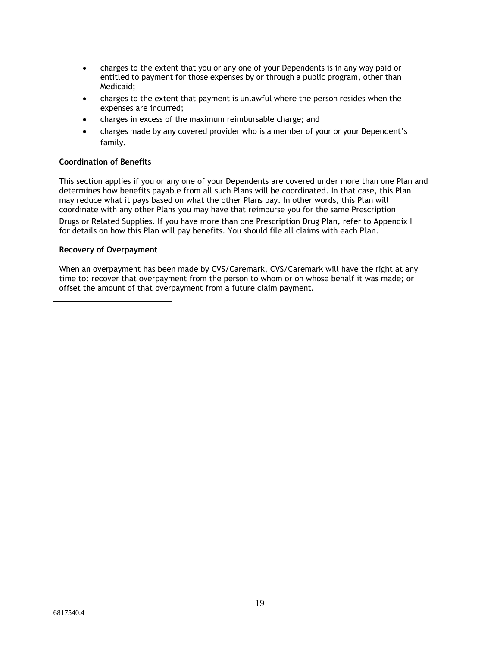- charges to the extent that you or any one of your Dependents is in any way paid or entitled to payment for those expenses by or through a public program, other than Medicaid;
- charges to the extent that payment is unlawful where the person resides when the expenses are incurred;
- charges in excess of the maximum reimbursable charge; and
- charges made by any covered provider who is a member of your or your Dependent's family.

### **Coordination of Benefits**

This section applies if you or any one of your Dependents are covered under more than one Plan and determines how benefits payable from all such Plans will be coordinated. In that case, this Plan may reduce what it pays based on what the other Plans pay. In other words, this Plan will coordinate with any other Plans you may have that reimburse you for the same Prescription

Drugs or Related Supplies. If you have more than one Prescription Drug Plan, refer to Appendix I for details on how this Plan will pay benefits. You should file all claims with each Plan.

### **Recovery of Overpayment**

When an overpayment has been made by CVS/Caremark, CVS/Caremark will have the right at any time to: recover that overpayment from the person to whom or on whose behalf it was made; or offset the amount of that overpayment from a future claim payment.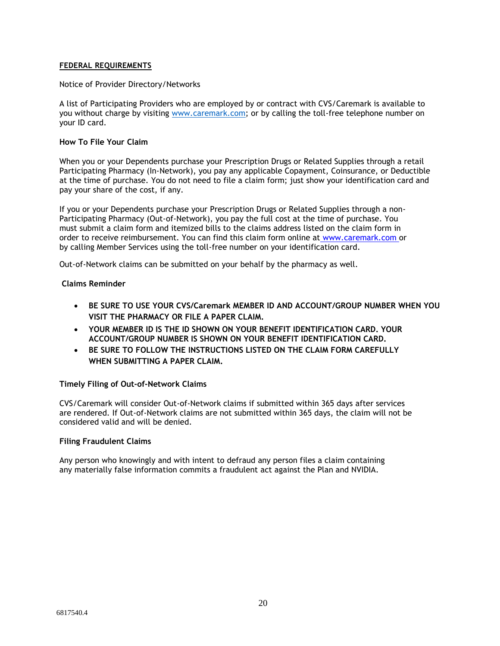### **FEDERAL REQUIREMENTS**

#### Notice of Provider Directory/Networks

A list of Participating Providers who are employed by or contract with CVS/Caremark is available to you without charge by visiting [www.caremark.com;](www.caremark.com) or by calling the toll-free telephone number on your ID card.

#### **How To File Your Claim**

When you or your Dependents purchase your Prescription Drugs or Related Supplies through a retail Participating Pharmacy (In-Network), you pay any applicable Copayment, Coinsurance, or Deductible at the time of purchase. You do not need to file a claim form; just show your identification card and pay your share of the cost, if any.

If you or your Dependents purchase your Prescription Drugs or Related Supplies through a non-Participating Pharmacy (Out-of-Network), you pay the full cost at the time of purchase. You must submit a claim form and itemized bills to the claims address listed on the claim form in order to receive reimbursement. You can find this claim form online at [www.caremark.com](http://www.caremark.com/) or by calling Member Services using the toll-free number on your identification card.

Out-of-Network claims can be submitted on your behalf by the pharmacy as well.

### **Claims Reminder**

- **BE SURE TO USE YOUR CVS/Caremark MEMBER ID AND ACCOUNT/GROUP NUMBER WHEN YOU VISIT THE PHARMACY OR FILE A PAPER CLAIM.**
- **YOUR MEMBER ID IS THE ID SHOWN ON YOUR BENEFIT IDENTIFICATION CARD. YOUR ACCOUNT/GROUP NUMBER IS SHOWN ON YOUR BENEFIT IDENTIFICATION CARD.**
- **BE SURE TO FOLLOW THE INSTRUCTIONS LISTED ON THE CLAIM FORM CAREFULLY WHEN SUBMITTING A PAPER CLAIM.**

### **Timely Filing of Out-of-Network Claims**

CVS/Caremark will consider Out-of-Network claims if submitted within 365 days after services are rendered. If Out-of-Network claims are not submitted within 365 days, the claim will not be considered valid and will be denied.

### **Filing Fraudulent Claims**

Any person who knowingly and with intent to defraud any person files a claim containing any materially false information commits a fraudulent act against the Plan and NVIDIA.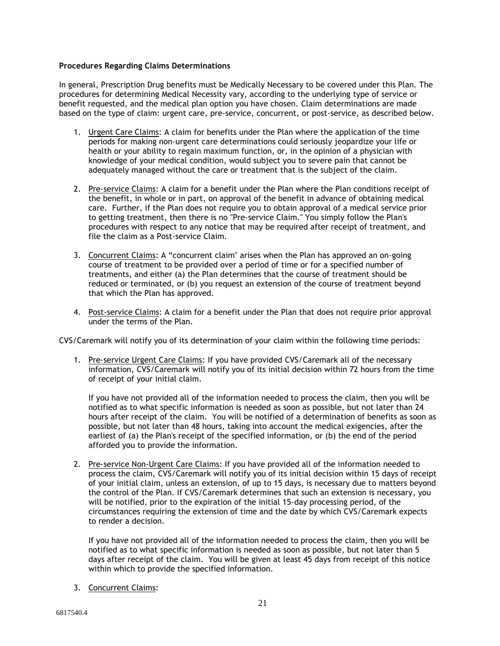### **Procedures Regarding Claims Determinations**

In general, Prescription Drug benefits must be Medically Necessary to be covered under this Plan. The procedures for determining Medical Necessity vary, according to the underlying type of service or benefit requested, and the medical plan option you have chosen. Claim determinations are made based on the type of claim: urgent care, pre-service, concurrent, or post-service, as described below.

- 1. Urgent Care Claims: A claim for benefits under the Plan where the application of the time periods for making non-urgent care determinations could seriously jeopardize your life or health or your ability to regain maximum function, or, in the opinion of a physician with knowledge of your medical condition, would subject you to severe pain that cannot be adequately managed without the care or treatment that is the subject of the claim.
- 2. Pre-service Claims: A claim for a benefit under the Plan where the Plan conditions receipt of the benefit, in whole or in part, on approval of the benefit in advance of obtaining medical care. Further, if the Plan does not require you to obtain approval of a medical service prior to getting treatment, then there is no "Pre-service Claim." You simply follow the Plan's procedures with respect to any notice that may be required after receipt of treatment, and file the claim as a Post-service Claim.
- 3. Concurrent Claims: A "concurrent claim" arises when the Plan has approved an on-going course of treatment to be provided over a period of time or for a specified number of treatments, and either (a) the Plan determines that the course of treatment should be reduced or terminated, or (b) you request an extension of the course of treatment beyond that which the Plan has approved.
- 4. Post-service Claims: A claim for a benefit under the Plan that does not require prior approval under the terms of the Plan.

CVS/Caremark will notify you of its determination of your claim within the following time periods:

1. Pre-service Urgent Care Claims: If you have provided CVS/Caremark all of the necessary information, CVS/Caremark will notify you of its initial decision within 72 hours from the time of receipt of your initial claim.

If you have not provided all of the information needed to process the claim, then you will be notified as to what specific information is needed as soon as possible, but not later than 24 hours after receipt of the claim. You will be notified of a determination of benefits as soon as possible, but not later than 48 hours, taking into account the medical exigencies, after the earliest of (a) the Plan's receipt of the specified information, or (b) the end of the period afforded you to provide the information.

2. Pre-service Non-Urgent Care Claims: If you have provided all of the information needed to process the claim, CVS/Caremark will notify you of its initial decision within 15 days of receipt of your initial claim, unless an extension, of up to 15 days, is necessary due to matters beyond the control of the Plan. If CVS/Caremark determines that such an extension is necessary, you will be notified, prior to the expiration of the initial 15-day processing period, of the circumstances requiring the extension of time and the date by which CVS/Caremark expects to render a decision.

If you have not provided all of the information needed to process the claim, then you will be notified as to what specific information is needed as soon as possible, but not later than 5 days after receipt of the claim. You will be given at least 45 days from receipt of this notice within which to provide the specified information.

3. Concurrent Claims: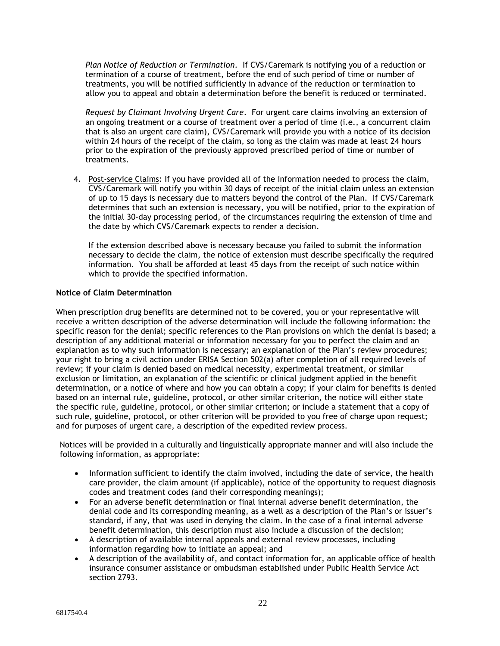*Plan Notice of Reduction or Termination*. If CVS/Caremark is notifying you of a reduction or termination of a course of treatment, before the end of such period of time or number of treatments, you will be notified sufficiently in advance of the reduction or termination to allow you to appeal and obtain a determination before the benefit is reduced or terminated.

*Request by Claimant Involving Urgent Care*. For urgent care claims involving an extension of an ongoing treatment or a course of treatment over a period of time (i.e., a concurrent claim that is also an urgent care claim), CVS/Caremark will provide you with a notice of its decision within 24 hours of the receipt of the claim, so long as the claim was made at least 24 hours prior to the expiration of the previously approved prescribed period of time or number of treatments.

4. Post-service Claims: If you have provided all of the information needed to process the claim, CVS/Caremark will notify you within 30 days of receipt of the initial claim unless an extension of up to 15 days is necessary due to matters beyond the control of the Plan. If CVS/Caremark determines that such an extension is necessary, you will be notified, prior to the expiration of the initial 30-day processing period, of the circumstances requiring the extension of time and the date by which CVS/Caremark expects to render a decision.

If the extension described above is necessary because you failed to submit the information necessary to decide the claim, the notice of extension must describe specifically the required information. You shall be afforded at least 45 days from the receipt of such notice within which to provide the specified information.

#### **Notice of Claim Determination**

When prescription drug benefits are determined not to be covered, you or your representative will receive a written description of the adverse determination will include the following information: the specific reason for the denial; specific references to the Plan provisions on which the denial is based; a description of any additional material or information necessary for you to perfect the claim and an explanation as to why such information is necessary; an explanation of the Plan's review procedures; your right to bring a civil action under ERISA Section 502(a) after completion of all required levels of review; if your claim is denied based on medical necessity, experimental treatment, or similar exclusion or limitation, an explanation of the scientific or clinical judgment applied in the benefit determination, or a notice of where and how you can obtain a copy; if your claim for benefits is denied based on an internal rule, guideline, protocol, or other similar criterion, the notice will either state the specific rule, guideline, protocol, or other similar criterion; or include a statement that a copy of such rule, guideline, protocol, or other criterion will be provided to you free of charge upon request; and for purposes of urgent care, a description of the expedited review process.

Notices will be provided in a culturally and linguistically appropriate manner and will also include the following information, as appropriate:

- Information sufficient to identify the claim involved, including the date of service, the health care provider, the claim amount (if applicable), notice of the opportunity to request diagnosis codes and treatment codes (and their corresponding meanings);
- For an adverse benefit determination or final internal adverse benefit determination, the denial code and its corresponding meaning, as a well as a description of the Plan's or issuer's standard, if any, that was used in denying the claim. In the case of a final internal adverse benefit determination, this description must also include a discussion of the decision;
- A description of available internal appeals and external review processes, including information regarding how to initiate an appeal; and
- A description of the availability of, and contact information for, an applicable office of health insurance consumer assistance or ombudsman established under Public Health Service Act section 2793.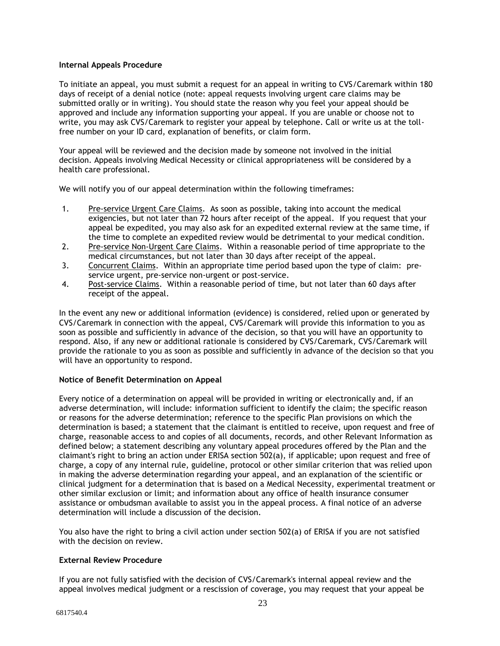### **Internal Appeals Procedure**

To initiate an appeal, you must submit a request for an appeal in writing to CVS/Caremark within 180 days of receipt of a denial notice (note: appeal requests involving urgent care claims may be submitted orally or in writing). You should state the reason why you feel your appeal should be approved and include any information supporting your appeal. If you are unable or choose not to write, you may ask CVS/Caremark to register your appeal by telephone. Call or write us at the tollfree number on your ID card, explanation of benefits, or claim form.

Your appeal will be reviewed and the decision made by someone not involved in the initial decision. Appeals involving Medical Necessity or clinical appropriateness will be considered by a health care professional.

We will notify you of our appeal determination within the following timeframes:

- 1. Pre-service Urgent Care Claims. As soon as possible, taking into account the medical exigencies, but not later than 72 hours after receipt of the appeal. If you request that your appeal be expedited, you may also ask for an expedited external review at the same time, if the time to complete an expedited review would be detrimental to your medical condition.
- 2. Pre-service Non-Urgent Care Claims. Within a reasonable period of time appropriate to the medical circumstances, but not later than 30 days after receipt of the appeal.
- 3. Concurrent Claims. Within an appropriate time period based upon the type of claim: preservice urgent, pre-service non-urgent or post-service.
- 4. Post-service Claims. Within a reasonable period of time, but not later than 60 days after receipt of the appeal.

In the event any new or additional information (evidence) is considered, relied upon or generated by CVS/Caremark in connection with the appeal, CVS/Caremark will provide this information to you as soon as possible and sufficiently in advance of the decision, so that you will have an opportunity to respond. Also, if any new or additional rationale is considered by CVS/Caremark, CVS/Caremark will provide the rationale to you as soon as possible and sufficiently in advance of the decision so that you will have an opportunity to respond.

### **Notice of Benefit Determination on Appeal**

Every notice of a determination on appeal will be provided in writing or electronically and, if an adverse determination, will include: information sufficient to identify the claim; the specific reason or reasons for the adverse determination; reference to the specific Plan provisions on which the determination is based; a statement that the claimant is entitled to receive, upon request and free of charge, reasonable access to and copies of all documents, records, and other Relevant Information as defined below; a statement describing any voluntary appeal procedures offered by the Plan and the claimant's right to bring an action under ERISA section 502(a), if applicable; upon request and free of charge, a copy of any internal rule, guideline, protocol or other similar criterion that was relied upon in making the adverse determination regarding your appeal, and an explanation of the scientific or clinical judgment for a determination that is based on a Medical Necessity, experimental treatment or other similar exclusion or limit; and information about any office of health insurance consumer assistance or ombudsman available to assist you in the appeal process. A final notice of an adverse determination will include a discussion of the decision.

You also have the right to bring a civil action under section 502(a) of ERISA if you are not satisfied with the decision on review.

### **External Review Procedure**

If you are not fully satisfied with the decision of CVS/Caremark's internal appeal review and the appeal involves medical judgment or a rescission of coverage, you may request that your appeal be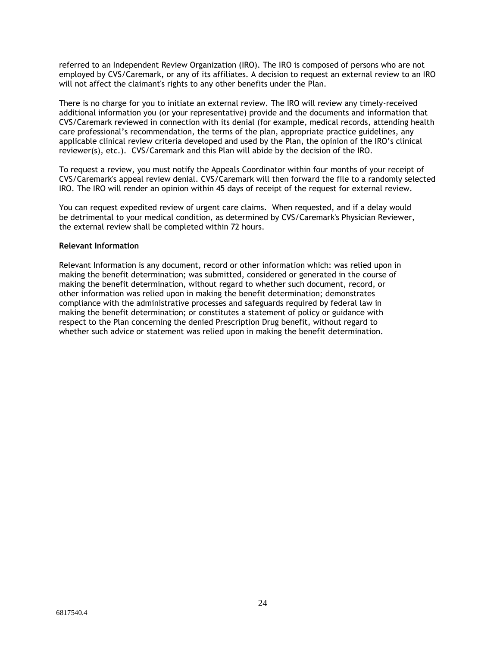referred to an Independent Review Organization (IRO). The IRO is composed of persons who are not employed by CVS/Caremark, or any of its affiliates. A decision to request an external review to an IRO will not affect the claimant's rights to any other benefits under the Plan.

There is no charge for you to initiate an external review. The IRO will review any timely-received additional information you (or your representative) provide and the documents and information that CVS/Caremark reviewed in connection with its denial (for example, medical records, attending health care professional's recommendation, the terms of the plan, appropriate practice guidelines, any applicable clinical review criteria developed and used by the Plan, the opinion of the IRO's clinical reviewer(s), etc.). CVS/Caremark and this Plan will abide by the decision of the IRO.

To request a review, you must notify the Appeals Coordinator within four months of your receipt of CVS/Caremark's appeal review denial. CVS/Caremark will then forward the file to a randomly selected IRO. The IRO will render an opinion within 45 days of receipt of the request for external review.

You can request expedited review of urgent care claims. When requested, and if a delay would be detrimental to your medical condition, as determined by CVS/Caremark's Physician Reviewer, the external review shall be completed within 72 hours.

#### **Relevant Information**

Relevant Information is any document, record or other information which: was relied upon in making the benefit determination; was submitted, considered or generated in the course of making the benefit determination, without regard to whether such document, record, or other information was relied upon in making the benefit determination; demonstrates compliance with the administrative processes and safeguards required by federal law in making the benefit determination; or constitutes a statement of policy or guidance with respect to the Plan concerning the denied Prescription Drug benefit, without regard to whether such advice or statement was relied upon in making the benefit determination.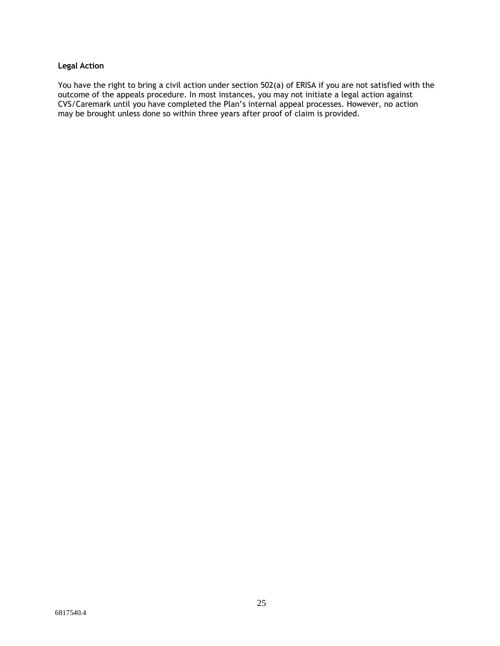### **Legal Action**

You have the right to bring a civil action under section 502(a) of ERISA if you are not satisfied with the outcome of the appeals procedure. In most instances, you may not initiate a legal action against CVS/Caremark until you have completed the Plan's internal appeal processes. However, no action may be brought unless done so within three years after proof of claim is provided.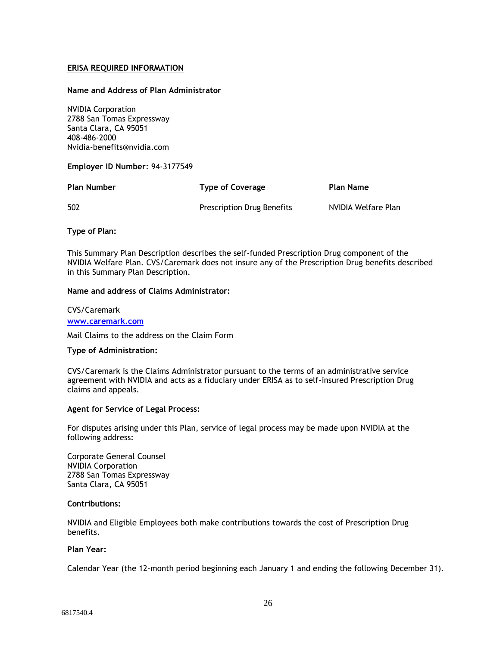### **ERISA REQUIRED INFORMATION**

### **Name and Address of Plan Administrator**

NVIDIA Corporation 2788 San Tomas Expressway Santa Clara, CA 95051 408-486-2000 Nvidia-benefits@nvidia.com

**Employer ID Number**: 94-3177549

| <b>Plan Number</b> | <b>Type of Coverage</b>           | Plan Name           |
|--------------------|-----------------------------------|---------------------|
| 502                | <b>Prescription Drug Benefits</b> | NVIDIA Welfare Plan |

**Type of Plan:**

This Summary Plan Description describes the self-funded Prescription Drug component of the NVIDIA Welfare Plan. CVS/Caremark does not insure any of the Prescription Drug benefits described in this Summary Plan Description.

#### **Name and address of Claims Administrator:**

### CVS/Caremark **[www.caremark.com](http://www.caremark.com/)**

Mail Claims to the address on the Claim Form

### **Type of Administration:**

CVS/Caremark is the Claims Administrator pursuant to the terms of an administrative service agreement with NVIDIA and acts as a fiduciary under ERISA as to self-insured Prescription Drug claims and appeals.

### **Agent for Service of Legal Process:**

For disputes arising under this Plan, service of legal process may be made upon NVIDIA at the following address:

Corporate General Counsel NVIDIA Corporation 2788 San Tomas Expressway Santa Clara, CA 95051

### **Contributions:**

NVIDIA and Eligible Employees both make contributions towards the cost of Prescription Drug benefits.

### **Plan Year:**

Calendar Year (the 12-month period beginning each January 1 and ending the following December 31).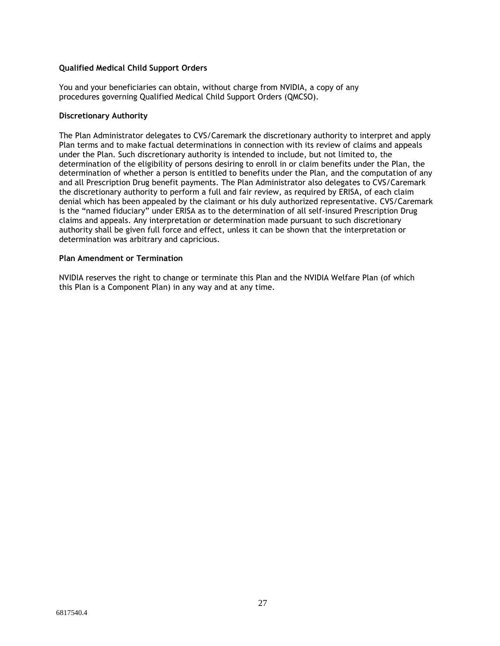### **Qualified Medical Child Support Orders**

You and your beneficiaries can obtain, without charge from NVIDIA, a copy of any procedures governing Qualified Medical Child Support Orders (QMCSO).

#### **Discretionary Authority**

The Plan Administrator delegates to CVS/Caremark the discretionary authority to interpret and apply Plan terms and to make factual determinations in connection with its review of claims and appeals under the Plan. Such discretionary authority is intended to include, but not limited to, the determination of the eligibility of persons desiring to enroll in or claim benefits under the Plan, the determination of whether a person is entitled to benefits under the Plan, and the computation of any and all Prescription Drug benefit payments. The Plan Administrator also delegates to CVS/Caremark the discretionary authority to perform a full and fair review, as required by ERISA, of each claim denial which has been appealed by the claimant or his duly authorized representative. CVS/Caremark is the "named fiduciary" under ERISA as to the determination of all self-insured Prescription Drug claims and appeals. Any interpretation or determination made pursuant to such discretionary authority shall be given full force and effect, unless it can be shown that the interpretation or determination was arbitrary and capricious.

#### **Plan Amendment or Termination**

NVIDIA reserves the right to change or terminate this Plan and the NVIDIA Welfare Plan (of which this Plan is a Component Plan) in any way and at any time.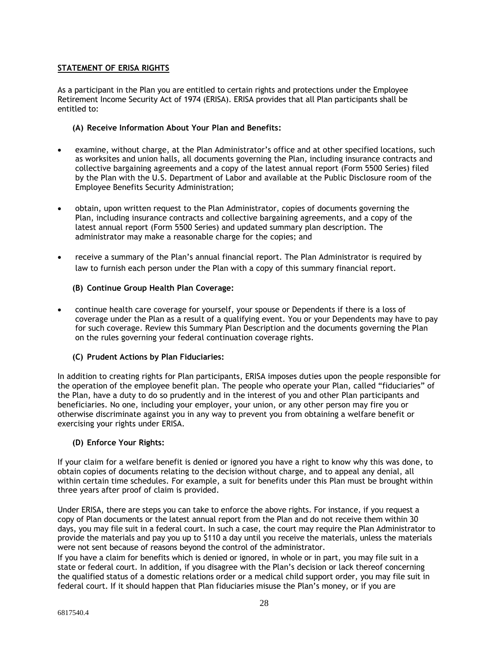### **STATEMENT OF ERISA RIGHTS**

As a participant in the Plan you are entitled to certain rights and protections under the Employee Retirement Income Security Act of 1974 (ERISA). ERISA provides that all Plan participants shall be entitled to:

### **(A) Receive Information About Your Plan and Benefits:**

- examine, without charge, at the Plan Administrator's office and at other specified locations, such as worksites and union halls, all documents governing the Plan, including insurance contracts and collective bargaining agreements and a copy of the latest annual report (Form 5500 Series) filed by the Plan with the U.S. Department of Labor and available at the Public Disclosure room of the Employee Benefits Security Administration;
- obtain, upon written request to the Plan Administrator, copies of documents governing the Plan, including insurance contracts and collective bargaining agreements, and a copy of the latest annual report (Form 5500 Series) and updated summary plan description. The administrator may make a reasonable charge for the copies; and
- receive a summary of the Plan's annual financial report. The Plan Administrator is required by law to furnish each person under the Plan with a copy of this summary financial report.

### **(B) Continue Group Health Plan Coverage:**

• continue health care coverage for yourself, your spouse or Dependents if there is a loss of coverage under the Plan as a result of a qualifying event. You or your Dependents may have to pay for such coverage. Review this Summary Plan Description and the documents governing the Plan on the rules governing your federal continuation coverage rights.

### **(C) Prudent Actions by Plan Fiduciaries:**

In addition to creating rights for Plan participants, ERISA imposes duties upon the people responsible for the operation of the employee benefit plan. The people who operate your Plan, called "fiduciaries" of the Plan, have a duty to do so prudently and in the interest of you and other Plan participants and beneficiaries. No one, including your employer, your union, or any other person may fire you or otherwise discriminate against you in any way to prevent you from obtaining a welfare benefit or exercising your rights under ERISA.

### **(D) Enforce Your Rights:**

If your claim for a welfare benefit is denied or ignored you have a right to know why this was done, to obtain copies of documents relating to the decision without charge, and to appeal any denial, all within certain time schedules. For example, a suit for benefits under this Plan must be brought within three years after proof of claim is provided.

Under ERISA, there are steps you can take to enforce the above rights. For instance, if you request a copy of Plan documents or the latest annual report from the Plan and do not receive them within 30 days, you may file suit in a federal court. In such a case, the court may require the Plan Administrator to provide the materials and pay you up to \$110 a day until you receive the materials, unless the materials were not sent because of reasons beyond the control of the administrator.

If you have a claim for benefits which is denied or ignored, in whole or in part, you may file suit in a state or federal court. In addition, if you disagree with the Plan's decision or lack thereof concerning the qualified status of a domestic relations order or a medical child support order, you may file suit in federal court. If it should happen that Plan fiduciaries misuse the Plan's money, or if you are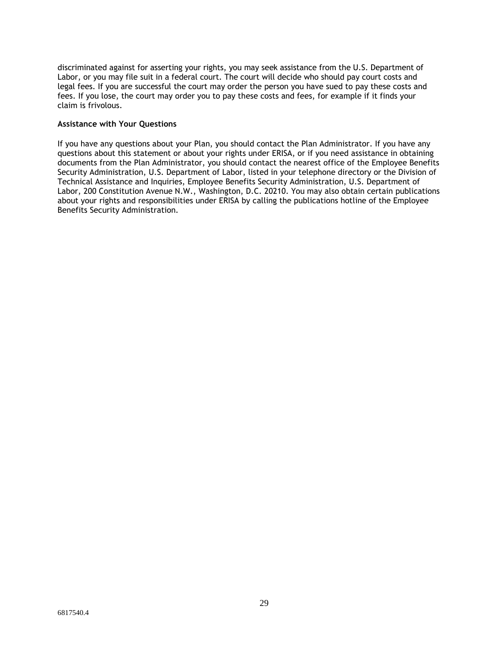discriminated against for asserting your rights, you may seek assistance from the U.S. Department of Labor, or you may file suit in a federal court. The court will decide who should pay court costs and legal fees. If you are successful the court may order the person you have sued to pay these costs and fees. If you lose, the court may order you to pay these costs and fees, for example if it finds your claim is frivolous.

### **Assistance with Your Questions**

If you have any questions about your Plan, you should contact the Plan Administrator. If you have any questions about this statement or about your rights under ERISA, or if you need assistance in obtaining documents from the Plan Administrator, you should contact the nearest office of the Employee Benefits Security Administration, U.S. Department of Labor, listed in your telephone directory or the Division of Technical Assistance and Inquiries, Employee Benefits Security Administration, U.S. Department of Labor, 200 Constitution Avenue N.W., Washington, D.C. 20210. You may also obtain certain publications about your rights and responsibilities under ERISA by calling the publications hotline of the Employee Benefits Security Administration.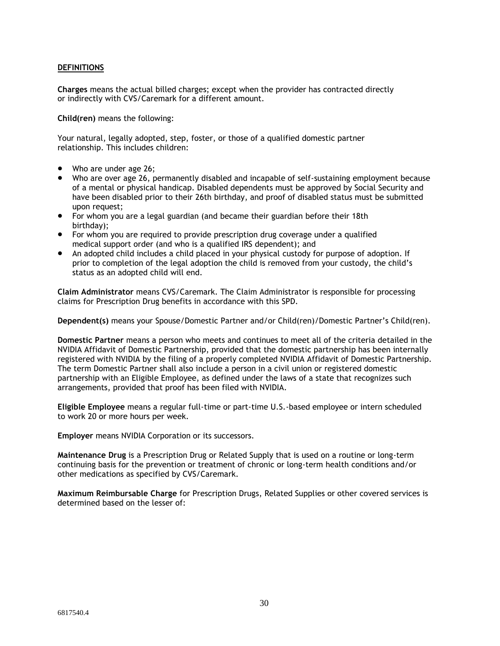### **DEFINITIONS**

**Charges** means the actual billed charges; except when the provider has contracted directly or indirectly with CVS/Caremark for a different amount.

**Child(ren)** means the following:

Your natural, legally adopted, step, foster, or those of a qualified domestic partner relationship. This includes children:

- Who are under age 26;
- Who are over age 26, permanently disabled and incapable of self-sustaining employment because of a mental or physical handicap. Disabled dependents must be approved by Social Security and have been disabled prior to their 26th birthday, and proof of disabled status must be submitted upon request;
- For whom you are a legal guardian (and became their guardian before their 18th birthday);
- For whom you are required to provide prescription drug coverage under a qualified medical support order (and who is a qualified IRS dependent); and
- An adopted child includes a child placed in your physical custody for purpose of adoption. If prior to completion of the legal adoption the child is removed from your custody, the child's status as an adopted child will end.

**Claim Administrator** means CVS/Caremark. The Claim Administrator is responsible for processing claims for Prescription Drug benefits in accordance with this SPD.

**Dependent(s)** means your Spouse/Domestic Partner and/or Child(ren)/Domestic Partner's Child(ren).

**Domestic Partner** means a person who meets and continues to meet all of the criteria detailed in the NVIDIA Affidavit of Domestic Partnership, provided that the domestic partnership has been internally registered with NVIDIA by the filing of a properly completed NVIDIA Affidavit of Domestic Partnership. The term Domestic Partner shall also include a person in a civil union or registered domestic partnership with an Eligible Employee, as defined under the laws of a state that recognizes such arrangements, provided that proof has been filed with NVIDIA.

**Eligible Employee** means a regular full-time or part-time U.S.-based employee or intern scheduled to work 20 or more hours per week.

**Employer** means NVIDIA Corporation or its successors.

**Maintenance Drug** is a Prescription Drug or Related Supply that is used on a routine or long-term continuing basis for the prevention or treatment of chronic or long-term health conditions and/or other medications as specified by CVS/Caremark.

**Maximum Reimbursable Charge** for Prescription Drugs, Related Supplies or other covered services is determined based on the lesser of: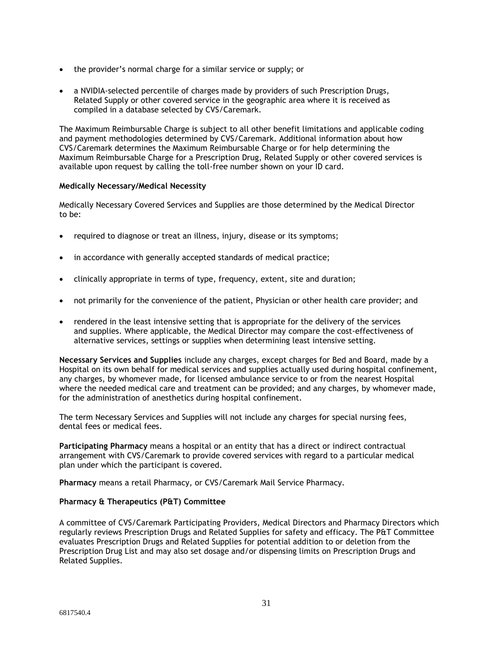- the provider's normal charge for a similar service or supply; or
- a NVIDIA-selected percentile of charges made by providers of such Prescription Drugs, Related Supply or other covered service in the geographic area where it is received as compiled in a database selected by CVS/Caremark.

The Maximum Reimbursable Charge is subject to all other benefit limitations and applicable coding and payment methodologies determined by CVS/Caremark. Additional information about how CVS/Caremark determines the Maximum Reimbursable Charge or for help determining the Maximum Reimbursable Charge for a Prescription Drug, Related Supply or other covered services is available upon request by calling the toll-free number shown on your ID card.

### **Medically Necessary/Medical Necessity**

Medically Necessary Covered Services and Supplies are those determined by the Medical Director to be:

- required to diagnose or treat an illness, injury, disease or its symptoms;
- in accordance with generally accepted standards of medical practice;
- clinically appropriate in terms of type, frequency, extent, site and duration;
- not primarily for the convenience of the patient, Physician or other health care provider; and
- rendered in the least intensive setting that is appropriate for the delivery of the services and supplies. Where applicable, the Medical Director may compare the cost-effectiveness of alternative services, settings or supplies when determining least intensive setting.

**Necessary Services and Supplies** include any charges, except charges for Bed and Board, made by a Hospital on its own behalf for medical services and supplies actually used during hospital confinement, any charges, by whomever made, for licensed ambulance service to or from the nearest Hospital where the needed medical care and treatment can be provided; and any charges, by whomever made, for the administration of anesthetics during hospital confinement.

The term Necessary Services and Supplies will not include any charges for special nursing fees, dental fees or medical fees.

**Participating Pharmacy** means a hospital or an entity that has a direct or indirect contractual arrangement with CVS/Caremark to provide covered services with regard to a particular medical plan under which the participant is covered.

**Pharmacy** means a retail Pharmacy, or CVS/Caremark Mail Service Pharmacy.

### **Pharmacy & Therapeutics (P&T) Committee**

A committee of CVS/Caremark Participating Providers, Medical Directors and Pharmacy Directors which regularly reviews Prescription Drugs and Related Supplies for safety and efficacy. The P&T Committee evaluates Prescription Drugs and Related Supplies for potential addition to or deletion from the Prescription Drug List and may also set dosage and/or dispensing limits on Prescription Drugs and Related Supplies.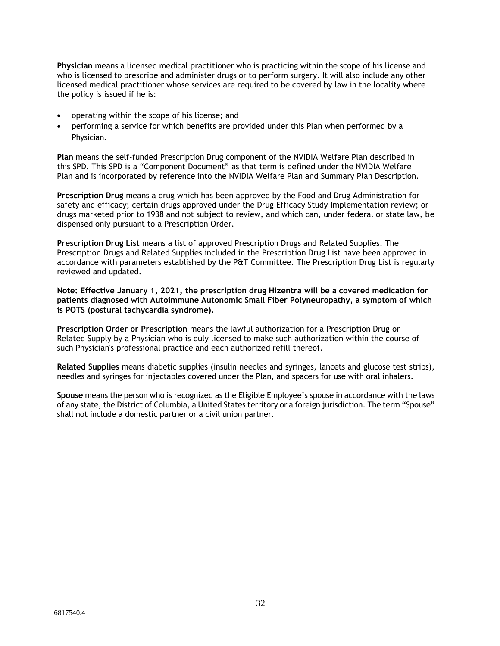**Physician** means a licensed medical practitioner who is practicing within the scope of his license and who is licensed to prescribe and administer drugs or to perform surgery. It will also include any other licensed medical practitioner whose services are required to be covered by law in the locality where the policy is issued if he is:

- operating within the scope of his license; and
- performing a service for which benefits are provided under this Plan when performed by a Physician.

**Plan** means the self-funded Prescription Drug component of the NVIDIA Welfare Plan described in this SPD. This SPD is a "Component Document" as that term is defined under the NVIDIA Welfare Plan and is incorporated by reference into the NVIDIA Welfare Plan and Summary Plan Description.

**Prescription Drug** means a drug which has been approved by the Food and Drug Administration for safety and efficacy; certain drugs approved under the Drug Efficacy Study Implementation review; or drugs marketed prior to 1938 and not subject to review, and which can, under federal or state law, be dispensed only pursuant to a Prescription Order.

**Prescription Drug List** means a list of approved Prescription Drugs and Related Supplies. The Prescription Drugs and Related Supplies included in the Prescription Drug List have been approved in accordance with parameters established by the P&T Committee. The Prescription Drug List is regularly reviewed and updated.

**Note: Effective January 1, 2021, the prescription drug Hizentra will be a covered medication for patients diagnosed with Autoimmune Autonomic Small Fiber Polyneuropathy, a symptom of which is POTS (postural tachycardia syndrome).**

**Prescription Order or Prescription** means the lawful authorization for a Prescription Drug or Related Supply by a Physician who is duly licensed to make such authorization within the course of such Physician's professional practice and each authorized refill thereof.

**Related Supplies** means diabetic supplies (insulin needles and syringes, lancets and glucose test strips), needles and syringes for injectables covered under the Plan, and spacers for use with oral inhalers.

**Spouse** means the person who is recognized as the Eligible Employee's spouse in accordance with the laws of any state, the District of Columbia, a United States territory or a foreign jurisdiction. The term "Spouse" shall not include a domestic partner or a civil union partner.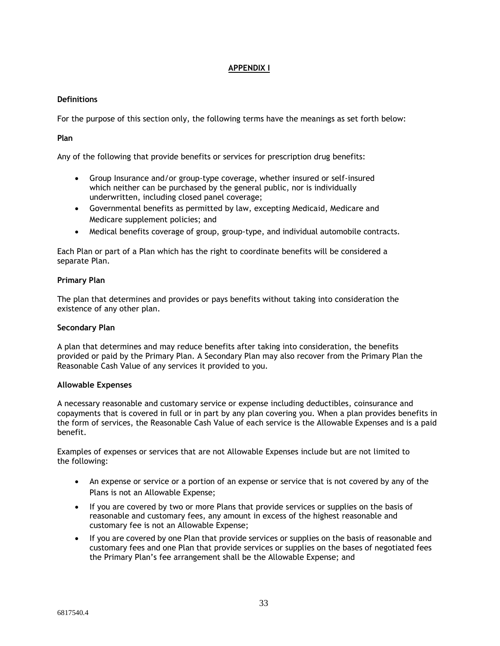### **APPENDIX I**

### **Definitions**

For the purpose of this section only, the following terms have the meanings as set forth below:

### **Plan**

Any of the following that provide benefits or services for prescription drug benefits:

- Group Insurance and/or group-type coverage, whether insured or self-insured which neither can be purchased by the general public, nor is individually underwritten, including closed panel coverage;
- Governmental benefits as permitted by law, excepting Medicaid, Medicare and Medicare supplement policies; and
- Medical benefits coverage of group, group-type, and individual automobile contracts.

Each Plan or part of a Plan which has the right to coordinate benefits will be considered a separate Plan.

### **Primary Plan**

The plan that determines and provides or pays benefits without taking into consideration the existence of any other plan.

### **Secondary Plan**

A plan that determines and may reduce benefits after taking into consideration, the benefits provided or paid by the Primary Plan. A Secondary Plan may also recover from the Primary Plan the Reasonable Cash Value of any services it provided to you.

### **Allowable Expenses**

A necessary reasonable and customary service or expense including deductibles, coinsurance and copayments that is covered in full or in part by any plan covering you. When a plan provides benefits in the form of services, the Reasonable Cash Value of each service is the Allowable Expenses and is a paid benefit.

Examples of expenses or services that are not Allowable Expenses include but are not limited to the following:

- An expense or service or a portion of an expense or service that is not covered by any of the Plans is not an Allowable Expense;
- If you are covered by two or more Plans that provide services or supplies on the basis of reasonable and customary fees, any amount in excess of the highest reasonable and customary fee is not an Allowable Expense;
- If you are covered by one Plan that provide services or supplies on the basis of reasonable and customary fees and one Plan that provide services or supplies on the bases of negotiated fees the Primary Plan's fee arrangement shall be the Allowable Expense; and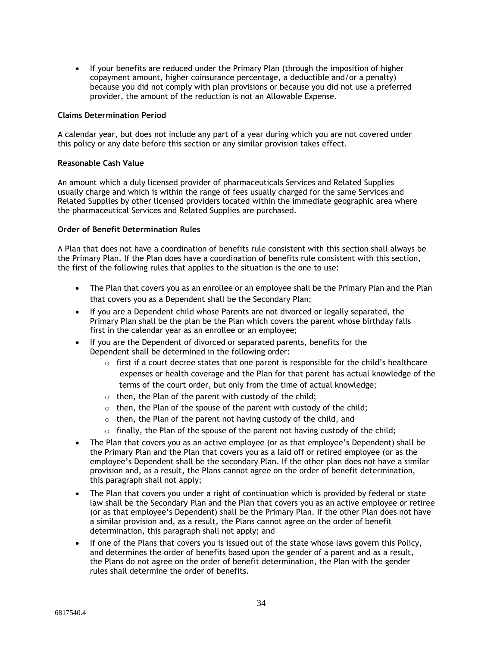• If your benefits are reduced under the Primary Plan (through the imposition of higher copayment amount, higher coinsurance percentage, a deductible and/or a penalty) because you did not comply with plan provisions or because you did not use a preferred provider, the amount of the reduction is not an Allowable Expense.

#### **Claims Determination Period**

A calendar year, but does not include any part of a year during which you are not covered under this policy or any date before this section or any similar provision takes effect.

### **Reasonable Cash Value**

An amount which a duly licensed provider of pharmaceuticals Services and Related Supplies usually charge and which is within the range of fees usually charged for the same Services and Related Supplies by other licensed providers located within the immediate geographic area where the pharmaceutical Services and Related Supplies are purchased.

### **Order of Benefit Determination Rules**

A Plan that does not have a coordination of benefits rule consistent with this section shall always be the Primary Plan. If the Plan does have a coordination of benefits rule consistent with this section, the first of the following rules that applies to the situation is the one to use:

- The Plan that covers you as an enrollee or an employee shall be the Primary Plan and the Plan that covers you as a Dependent shall be the Secondary Plan;
- If you are a Dependent child whose Parents are not divorced or legally separated, the Primary Plan shall be the plan be the Plan which covers the parent whose birthday falls first in the calendar year as an enrollee or an employee;
- If you are the Dependent of divorced or separated parents, benefits for the Dependent shall be determined in the following order:
	- $\circ$  first if a court decree states that one parent is responsible for the child's healthcare expenses or health coverage and the Plan for that parent has actual knowledge of the terms of the court order, but only from the time of actual knowledge;
	- $\circ$  then, the Plan of the parent with custody of the child;
	- $\circ$  then, the Plan of the spouse of the parent with custody of the child;
	- $\circ$  then, the Plan of the parent not having custody of the child, and
	- $\circ$  finally, the Plan of the spouse of the parent not having custody of the child;
- The Plan that covers you as an active employee (or as that employee's Dependent) shall be the Primary Plan and the Plan that covers you as a laid off or retired employee (or as the employee's Dependent shall be the secondary Plan. If the other plan does not have a similar provision and, as a result, the Plans cannot agree on the order of benefit determination, this paragraph shall not apply;
- The Plan that covers you under a right of continuation which is provided by federal or state law shall be the Secondary Plan and the Plan that covers you as an active employee or retiree (or as that employee's Dependent) shall be the Primary Plan. If the other Plan does not have a similar provision and, as a result, the Plans cannot agree on the order of benefit determination, this paragraph shall not apply; and
- If one of the Plans that covers you is issued out of the state whose laws govern this Policy, and determines the order of benefits based upon the gender of a parent and as a result, the Plans do not agree on the order of benefit determination, the Plan with the gender rules shall determine the order of benefits.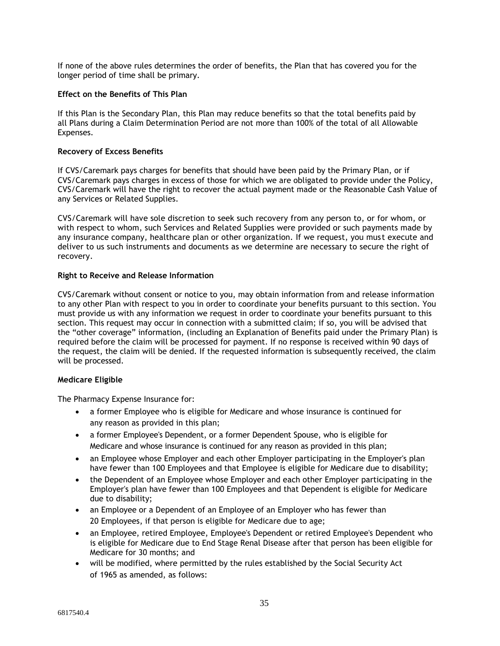If none of the above rules determines the order of benefits, the Plan that has covered you for the longer period of time shall be primary.

#### **Effect on the Benefits of This Plan**

If this Plan is the Secondary Plan, this Plan may reduce benefits so that the total benefits paid by all Plans during a Claim Determination Period are not more than 100% of the total of all Allowable Expenses.

#### **Recovery of Excess Benefits**

If CVS/Caremark pays charges for benefits that should have been paid by the Primary Plan, or if CVS/Caremark pays charges in excess of those for which we are obligated to provide under the Policy, CVS/Caremark will have the right to recover the actual payment made or the Reasonable Cash Value of any Services or Related Supplies.

CVS/Caremark will have sole discretion to seek such recovery from any person to, or for whom, or with respect to whom, such Services and Related Supplies were provided or such payments made by any insurance company, healthcare plan or other organization. If we request, you mus t execute and deliver to us such instruments and documents as we determine are necessary to secure the right of recovery.

#### **Right to Receive and Release Information**

CVS/Caremark without consent or notice to you, may obtain information from and release information to any other Plan with respect to you in order to coordinate your benefits pursuant to this section. You must provide us with any information we request in order to coordinate your benefits pursuant to this section. This request may occur in connection with a submitted claim; if so, you will be advised that the "other coverage" information, (including an Explanation of Benefits paid under the Primary Plan) is required before the claim will be processed for payment. If no response is received within 90 days of the request, the claim will be denied. If the requested information is subsequently received, the claim will be processed.

### **Medicare Eligible**

The Pharmacy Expense Insurance for:

- a former Employee who is eligible for Medicare and whose insurance is continued for any reason as provided in this plan;
- a former Employee's Dependent, or a former Dependent Spouse, who is eligible for Medicare and whose insurance is continued for any reason as provided in this plan;
- an Employee whose Employer and each other Employer participating in the Employer's plan have fewer than 100 Employees and that Employee is eligible for Medicare due to disability;
- the Dependent of an Employee whose Employer and each other Employer participating in the Employer's plan have fewer than 100 Employees and that Dependent is eligible for Medicare due to disability;
- an Employee or a Dependent of an Employee of an Employer who has fewer than 20 Employees, if that person is eligible for Medicare due to age;
- an Employee, retired Employee, Employee's Dependent or retired Employee's Dependent who is eligible for Medicare due to End Stage Renal Disease after that person has been eligible for Medicare for 30 months; and
- will be modified, where permitted by the rules established by the Social Security Act of 1965 as amended, as follows: